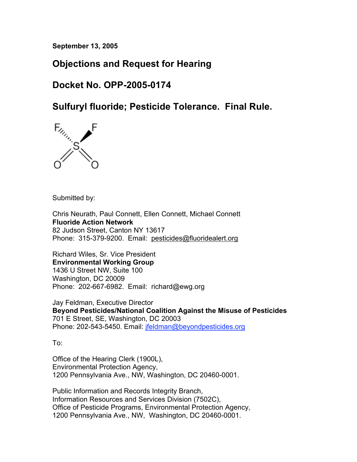**September 13, 2005**

# **Objections and Request for Hearing**

# **Docket No. OPP-2005-0174**

**Sulfuryl fluoride; Pesticide Tolerance. Final Rule.**



Submitted by:

Chris Neurath, Paul Connett, Ellen Connett, Michael Connett **Fluoride Action Network** 82 Judson Street, Canton NY 13617 Phone: 315-379-9200. Email: pesticides@fluoridealert.org

Richard Wiles, Sr. Vice President **Environmental Working Group** 1436 U Street NW, Suite 100 Washington, DC 20009 Phone: 202-667-6982. Email: richard@ewg.org

Jay Feldman, Executive Director **Beyond Pesticides/National Coalition Against the Misuse of Pesticides** 701 E Street, SE, Washington, DC 20003 Phone: 202-543-5450. Email: jfeldman@beyondpesticides.org

To:

Office of the Hearing Clerk (1900L), Environmental Protection Agency, 1200 Pennsylvania Ave., NW, Washington, DC 20460-0001.

Public Information and Records Integrity Branch, Information Resources and Services Division (7502C), Office of Pesticide Programs, Environmental Protection Agency, 1200 Pennsylvania Ave., NW, Washington, DC 20460-0001.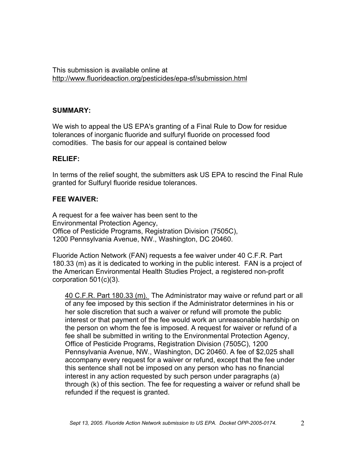This submission is available online at http://www.fluorideaction.org/pesticides/epa-sf/submission.html

#### **SUMMARY:**

We wish to appeal the US EPA's granting of a Final Rule to Dow for residue tolerances of inorganic fluoride and sulfuryl fluoride on processed food comodities. The basis for our appeal is contained below

#### **RELIEF:**

In terms of the relief sought, the submitters ask US EPA to rescind the Final Rule granted for Sulfuryl fluoride residue tolerances.

#### **FEE WAIVER:**

A request for a fee waiver has been sent to the Environmental Protection Agency, Office of Pesticide Programs, Registration Division (7505C), 1200 Pennsylvania Avenue, NW., Washington, DC 20460.

Fluoride Action Network (FAN) requests a fee waiver under 40 C.F.R. Part 180.33 (m) as it is dedicated to working in the public interest. FAN is a project of the American Environmental Health Studies Project, a registered non-profit corporation 501(c)(3).

40 C.F.R. Part 180.33 (m). The Administrator may waive or refund part or all of any fee imposed by this section if the Administrator determines in his or her sole discretion that such a waiver or refund will promote the public interest or that payment of the fee would work an unreasonable hardship on the person on whom the fee is imposed. A request for waiver or refund of a fee shall be submitted in writing to the Environmental Protection Agency, Office of Pesticide Programs, Registration Division (7505C), 1200 Pennsylvania Avenue, NW., Washington, DC 20460. A fee of \$2,025 shall accompany every request for a waiver or refund, except that the fee under this sentence shall not be imposed on any person who has no financial interest in any action requested by such person under paragraphs (a) through (k) of this section. The fee for requesting a waiver or refund shall be refunded if the request is granted.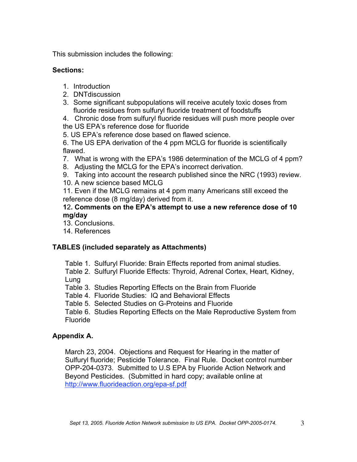This submission includes the following:

# **Sections:**

- 1. Introduction
- 2. DNTdiscussion
- 3. Some significant subpopulations will receive acutely toxic doses from fluoride residues from sulfuryl fluoride treatment of foodstuffs

4. Chronic dose from sulfuryl fluoride residues will push more people over the US EPA's reference dose for fluoride

5. US EPA's reference dose based on flawed science.

6. The US EPA derivation of the 4 ppm MCLG for fluoride is scientifically flawed.

- 7. What is wrong with the EPA's 1986 determination of the MCLG of 4 ppm?
- 8. Adjusting the MCLG for the EPA's incorrect derivation.
- 9. Taking into account the research published since the NRC (1993) review.
- 10. A new science based MCLG

11. Even if the MCLG remains at 4 ppm many Americans still exceed the reference dose (8 mg/day) derived from it.

#### **1**2**. Comments on the EPA's attempt to use a new reference dose of 10 mg/day**

- 13. Conclusions.
- 14. References

# **TABLES (included separately as Attachments)**

Table 1. Sulfuryl Fluoride: Brain Effects reported from animal studies.

Table 2. Sulfuryl Fluoride Effects: Thyroid, Adrenal Cortex, Heart, Kidney, Lung

- Table 3. Studies Reporting Effects on the Brain from Fluoride
- Table 4. Fluoride Studies: IQ and Behavioral Effects
- Table 5. Selected Studies on G-Proteins and Fluoride

Table 6. Studies Reporting Effects on the Male Reproductive System from Fluoride

# **Appendix A.**

March 23, 2004. Objections and Request for Hearing in the matter of Sulfuryl fluoride; Pesticide Tolerance. Final Rule. Docket control number OPP-204-0373. Submitted to U.S EPA by Fluoride Action Network and Beyond Pesticides. (Submitted in hard copy; available online at http://www.fluorideaction.org/epa-sf.pdf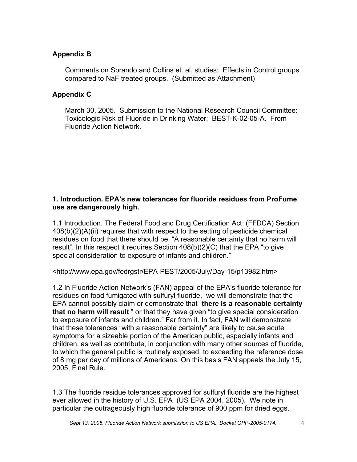# **Appendix B**

Comments on Sprando and Collins et. al. studies: Effects in Control groups compared to NaF treated groups. (Submitted as Attachment)

#### **Appendix C**

March 30, 2005. Submission to the National Research Council Committee: Toxicologic Risk of Fluoride in Drinking Water; BEST-K-02-05-A. From Fluoride Action Network.

#### **1. Introduction. EPA's new tolerances for fluoride residues from ProFume use are dangerously high.**

1.1 Introduction. The Federal Food and Drug Certification Act (FFDCA) Section 408(b)(2)(A)(ii) requires that with respect to the setting of pesticide chemical residues on food that there should be "A reasonable certainty that no harm will result". In this respect it requires Section 408(b)(2)(C) that the EPA "to give special consideration to exposure of infants and children."

<http://www.epa.gov/fedrgstr/EPA-PEST/2005/July/Day-15/p13982.htm>

1.2 In Fluoride Action Network's (FAN) appeal of the EPA's fluoride tolerance for residues on food fumigated with sulfuryl fluoride, we will demonstrate that the EPA cannot possibly claim or demonstrate that "**there is a reasonable certainty that no harm will result** " or that they have given "to give special consideration to exposure of infants and children." Far from it. In fact, FAN will demonstrate that these tolerances "with a reasonable certainty" are likely to cause acute symptoms for a sizeable portion of the American public, especially infants and children, as well as contribute, in conjunction with many other sources of fluoride, to which the general public is routinely exposed, to exceeding the reference dose of 8 mg per day of millions of Americans. On this basis FAN appeals the July 15, 2005, Final Rule.

1.3 The fluoride residue tolerances approved for sulfuryl fluoride are the highest ever allowed in the history of U.S. EPA (US EPA 2004, 2005). We note in particular the outrageously high fluoride tolerance of 900 ppm for dried eggs.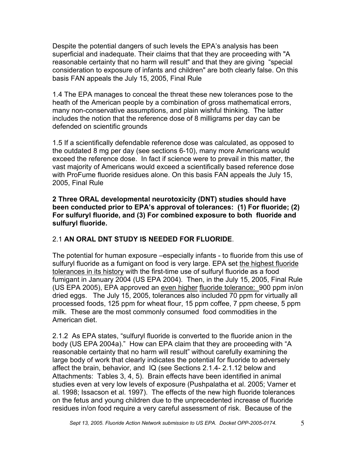Despite the potential dangers of such levels the EPA's analysis has been superficial and inadequate. Their claims that that they are proceeding with "A reasonable certainty that no harm will result" and that they are giving "special consideration to exposure of infants and children" are both clearly false. On this basis FAN appeals the July 15, 2005, Final Rule

1.4 The EPA manages to conceal the threat these new tolerances pose to the heath of the American people by a combination of gross mathematical errors, many non-conservative assumptions, and plain wishful thinking. The latter includes the notion that the reference dose of 8 milligrams per day can be defended on scientific grounds

1.5 If a scientifically defendable reference dose was calculated, as opposed to the outdated 8 mg per day (see sections 6-10), many more Americans would exceed the reference dose. In fact if science were to prevail in this matter, the vast majority of Americans would exceed a scientifically based reference dose with ProFume fluoride residues alone. On this basis FAN appeals the July 15, 2005, Final Rule

**2 Three ORAL developmental neurotoxicity (DNT) studies should have been conducted prior to EPA's approval of tolerances: (1) For fluoride; (2) For sulfuryl fluoride, and (3) For combined exposure to both fluoride and sulfuryl fluoride.**

# 2.1 **AN ORAL DNT STUDY IS NEEDED FOR FLUORIDE**.

The potential for human exposure –especially infants - to fluoride from this use of sulfuryl fluoride as a fumigant on food is very large. EPA set the highest fluoride tolerances in its history with the first-time use of sulfuryl fluoride as a food fumigant in January 2004 (US EPA 2004). Then, in the July 15, 2005, Final Rule (US EPA 2005), EPA approved an even higher fluoride tolerance: 900 ppm in/on dried eggs. The July 15, 2005, tolerances also included 70 ppm for virtually all processed foods, 125 ppm for wheat flour, 15 ppm coffee, 7 ppm cheese, 5 ppm milk. These are the most commonly consumed food commodities in the American diet.

2.1.2 As EPA states, "sulfuryl fluoride is converted to the fluoride anion in the body (US EPA 2004a)." How can EPA claim that they are proceeding with "A reasonable certainty that no harm will result" without carefully examining the large body of work that clearly indicates the potential for fluoride to adversely affect the brain, behavior, and IQ (see Sections 2.1.4- 2.1.12 below and Attachments: Tables 3, 4, 5). Brain effects have been identified in animal studies even at very low levels of exposure (Pushpalatha et al. 2005; Varner et al. 1998; Issacson et al. 1997). The effects of the new high fluoride tolerances on the fetus and young children due to the unprecedented increase of fluoride residues in/on food require a very careful assessment of risk. Because of the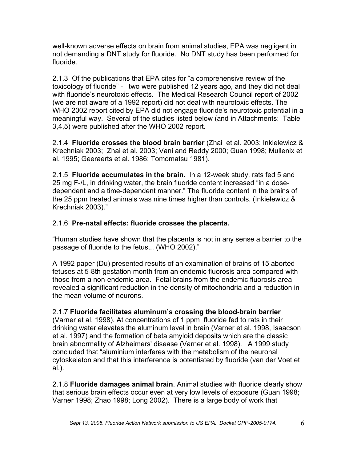well-known adverse effects on brain from animal studies, EPA was negligent in not demanding a DNT study for fluoride. No DNT study has been performed for fluoride.

2.1.3 Of the publications that EPA cites for "a comprehensive review of the toxicology of fluoride" - two were published 12 years ago, and they did not deal with fluoride's neurotoxic effects. The Medical Research Council report of 2002 (we are not aware of a 1992 report) did not deal with neurotoxic effects. The WHO 2002 report cited by EPA did not engage fluoride's neurotoxic potential in a meaningful way. Several of the studies listed below (and in Attachments: Table 3,4,5) were published after the WHO 2002 report.

2.1.4 **Fluoride crosses the blood brain barrier** (Zhai et al. 2003; Inkielewicz & Krechniak 2003; Zhai et al. 2003; Vani and Reddy 2000; Guan 1998; Mullenix et al. 1995; Geeraerts et al. 1986; Tomomatsu 1981).

2.1.5 **Fluoride accumulates in the brain.** In a 12-week study, rats fed 5 and 25 mg F-/L, in drinking water, the brain fluoride content increased "in a dosedependent and a time-dependent manner." The fluoride content in the brains of the 25 ppm treated animals was nine times higher than controls. (Inkielewicz & Krechniak 2003)."

# 2.1.6 **Pre-natal effects: fluoride crosses the placenta.**

"Human studies have shown that the placenta is not in any sense a barrier to the passage of fluoride to the fetus... (WHO 2002)."

A 1992 paper (Du) presented results of an examination of brains of 15 aborted fetuses at 5-8th gestation month from an endemic fluorosis area compared with those from a non-endemic area. Fetal brains from the endemic fluorosis area revealed a significant reduction in the density of mitochondria and a reduction in the mean volume of neurons.

# 2.1.7 **Fluoride facilitates aluminum's crossing the blood-brain barrier**

(Varner et al. 1998). At concentrations of 1 ppm fluoride fed to rats in their drinking water elevates the aluminum level in brain (Varner et al. 1998, Isaacson et al. 1997) and the formation of beta amyloid deposits which are the classic brain abnormality of Alzheimers' disease (Varner et al. 1998). A 1999 study concluded that "aluminium interferes with the metabolism of the neuronal cytoskeleton and that this interference is potentiated by fluoride (van der Voet et al.).

2.1.8 **Fluoride damages animal brain**. Animal studies with fluoride clearly show that serious brain effects occur even at very low levels of exposure (Guan 1998; Varner 1998; Zhao 1998; Long 2002). There is a large body of work that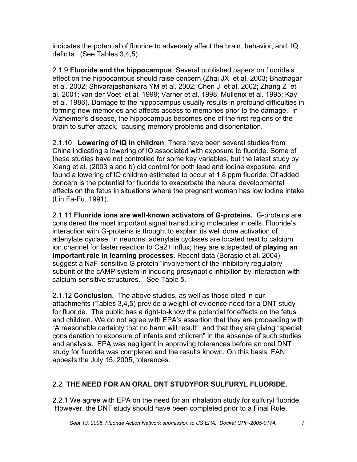indicates the potential of fluoride to adversely affect the brain, behavior, and IQ deficits. (See Tables 3,4,5).

2.1.9 **Fluoride and the hippocampus**. Several published papers on fluoride's effect on the hippocampus should raise concern (Zhai JX et al. 2003; Bhatnagar et al. 2002; Shivarajashankara YM et al. 2002; Chen J et al. 2002; Zhang Z et al. 2001; van der Voet et al. 1999; Varner et al. 1998; Mullenix et al. 1995; Kay et al. 1986). Damage to the hippocampus usually results in profound difficulties in forming new memories and affects access to memories prior to the damage. In Alzheimer's disease, the hippocampus becomes one of the first regions of the brain to suffer attack; causing memory problems and disorientation.

2.1.10 **Lowering of IQ in children**. There have been several studies from China indicating a lowering of IQ associated with exposure to fluoride. Some of these studies have not controlled for some key variables, but the latest study by Xiang et al. (2003 a and b) did control for both lead and iodine exposure, and found a lowering of IQ children estimated to occur at 1.8 ppm fluoride. Of added concern is the potential for fluoride to exacerbate the neural developmental effects on the fetus in situations where the pregnant woman has low iodine intake (Lin Fa-Fu, 1991).

2.1.11 **Fluoride ions are well-known activators of G-proteins.** G-proteins are considered the most important signal transducing molecules in cells. Fluoride's interaction with G-proteins is thought to explain its well done activation of adenylate cyclase. In neurons, adenylate cyclases are located next to calcium ion channel for faster reaction to Ca2+ influx; they are suspected **of playing an important role in learning processes.** Recent data (Borasio et al. 2004) suggest a NaF-sensitive G protein "involvement of the inhibitory regulatory subunit of the cAMP system in inducing presynaptic inhibition by interaction with calcium-sensitive structures." See Table 5.

2.1.12 **Conclusion.** The above studies, as well as those cited in our attachments (Tables 3,4,5) provide a weight-of-evidence need for a DNT study for fluoride. The public has a right-to-know the potential for effects on the fetus and children. We do not agree with EPA's assertion that they are proceeding with "A reasonable certainty that no harm will result" and that they are giving "special consideration to exposure of infants and children" in the absence of such studies and analysis. EPA was negligent in approving tolerances before an oral DNT study for fluoride was completed and the results known. On this basis, FAN appeals the July 15, 2005, tolerances.

# 2.2 **THE NEED FOR AN ORAL DNT STUDYFOR SULFURYL FLUORIDE.**

2.2.1 We agree with EPA on the need for an inhalation study for sulfuryl fluoride. However, the DNT study should have been completed prior to a Final Rule,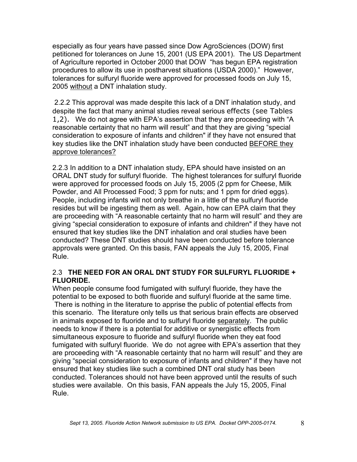especially as four years have passed since Dow AgroSciences (DOW) first petitioned for tolerances on June 15, 2001 (US EPA 2001). The US Department of Agriculture reported in October 2000 that DOW "has begun EPA registration procedures to allow its use in postharvest situations (USDA 2000)." However, tolerances for sulfuryl fluoride were approved for processed foods on July 15, 2005 without a DNT inhalation study.

2.2.2 This approval was made despite this lack of a DNT inhalation study, and despite the fact that many animal studies reveal serious effects (see Tables 1,2). We do not agree with EPA's assertion that they are proceeding with "A reasonable certainty that no harm will result" and that they are giving "special consideration to exposure of infants and children" if they have not ensured that key studies like the DNT inhalation study have been conducted BEFORE they approve tolerances?

2.2.3 In addition to a DNT inhalation study, EPA should have insisted on an ORAL DNT study for sulfuryl fluoride. The highest tolerances for sulfuryl fluoride were approved for processed foods on July 15, 2005 (2 ppm for Cheese, Milk Powder, and All Processed Food; 3 ppm for nuts; and 1 ppm for dried eggs). People, including infants will not only breathe in a little of the sulfuryl fluoride resides but will be ingesting them as well. Again, how can EPA claim that they are proceeding with "A reasonable certainty that no harm will result" and they are giving "special consideration to exposure of infants and children" if they have not ensured that key studies like the DNT inhalation and oral studies have been conducted? These DNT studies should have been conducted before tolerance approvals were granted. On this basis, FAN appeals the July 15, 2005, Final Rule.

#### 2.3 **THE NEED FOR AN ORAL DNT STUDY FOR SULFURYL FLUORIDE + FLUORIDE.**

When people consume food fumigated with sulfuryl fluoride, they have the potential to be exposed to both fluoride and sulfuryl fluoride at the same time. There is nothing in the literature to apprise the public of potential effects from this scenario. The literature only tells us that serious brain effects are observed in animals exposed to fluoride and to sulfuryl fluoride separately. The public needs to know if there is a potential for additive or synergistic effects from simultaneous exposure to fluoride and sulfuryl fluoride when they eat food fumigated with sulfuryl fluoride. We do not agree with EPA's assertion that they are proceeding with "A reasonable certainty that no harm will result" and they are giving "special consideration to exposure of infants and children" if they have not ensured that key studies like such a combined DNT oral study has been conducted. Tolerances should not have been approved until the results of such studies were available. On this basis, FAN appeals the July 15, 2005, Final Rule.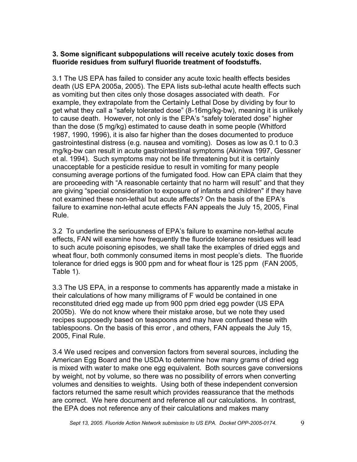#### **3. Some significant subpopulations will receive acutely toxic doses from fluoride residues from sulfuryl fluoride treatment of foodstuffs.**

3.1 The US EPA has failed to consider any acute toxic health effects besides death (US EPA 2005a, 2005). The EPA lists sub-lethal acute health effects such as vomiting but then cites only those dosages associated with death. For example, they extrapolate from the Certainly Lethal Dose by dividing by four to get what they call a "safely tolerated dose" (8-16mg/kg-bw), meaning it is unlikely to cause death. However, not only is the EPA's "safely tolerated dose" higher than the dose (5 mg/kg) estimated to cause death in some people (Whitford 1987, 1990, 1996), it is also far higher than the doses documented to produce gastrointestinal distress (e.g. nausea and vomiting). Doses as low as 0.1 to 0.3 mg/kg-bw can result in acute gastrointestinal symptoms (Akiniwa 1997, Gessner et al. 1994). Such symptoms may not be life threatening but it is certainly unacceptable for a pesticide residue to result in vomiting for many people consuming average portions of the fumigated food. How can EPA claim that they are proceeding with "A reasonable certainty that no harm will result" and that they are giving "special consideration to exposure of infants and children" if they have not examined these non-lethal but acute affects? On the basis of the EPA's failure to examine non-lethal acute effects FAN appeals the July 15, 2005, Final Rule.

3.2 To underline the seriousness of EPA's failure to examine non-lethal acute effects, FAN will examine how frequently the fluoride tolerance residues will lead to such acute poisoning episodes, we shall take the examples of dried eggs and wheat flour, both commonly consumed items in most people's diets. The fluoride tolerance for dried eggs is 900 ppm and for wheat flour is 125 ppm (FAN 2005, Table 1).

3.3 The US EPA, in a response to comments has apparently made a mistake in their calculations of how many milligrams of F would be contained in one reconstituted dried egg made up from 900 ppm dried egg powder (US EPA 2005b). We do not know where their mistake arose, but we note they used recipes supposedly based on teaspoons and may have confused these with tablespoons. On the basis of this error , and others, FAN appeals the July 15, 2005, Final Rule.

3.4 We used recipes and conversion factors from several sources, including the American Egg Board and the USDA to determine how many grams of dried egg is mixed with water to make one egg equivalent. Both sources gave conversions by weight, not by volume, so there was no possibility of errors when converting volumes and densities to weights. Using both of these independent conversion factors returned the same result which provides reassurance that the methods are correct. We here document and reference all our calculations. In contrast, the EPA does not reference any of their calculations and makes many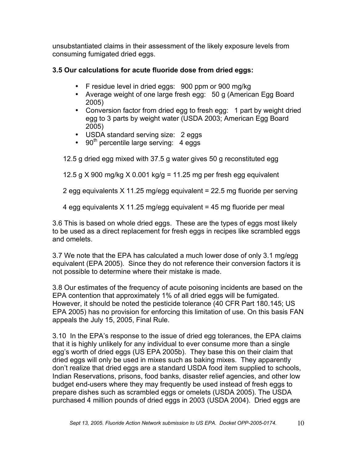unsubstantiated claims in their assessment of the likely exposure levels from consuming fumigated dried eggs.

# **3.5 Our calculations for acute fluoride dose from dried eggs:**

- F residue level in dried eggs: 900 ppm or 900 mg/kg
- Average weight of one large fresh egg: 50 g (American Egg Board 2005)
- Conversion factor from dried egg to fresh egg: 1 part by weight dried egg to 3 parts by weight water (USDA 2003; American Egg Board 2005)
- USDA standard serving size: 2 eggs
- 90<sup>th</sup> percentile large serving: 4 eggs

12.5 g dried egg mixed with 37.5 g water gives 50 g reconstituted egg

12.5 g  $X$  900 mg/kg  $X$  0.001 kg/g = 11.25 mg per fresh egg equivalent

2 egg equivalents X 11.25 mg/egg equivalent = 22.5 mg fluoride per serving

4 egg equivalents X 11.25 mg/egg equivalent = 45 mg fluoride per meal

3.6 This is based on whole dried eggs. These are the types of eggs most likely to be used as a direct replacement for fresh eggs in recipes like scrambled eggs and omelets.

3.7 We note that the EPA has calculated a much lower dose of only 3.1 mg/egg equivalent (EPA 2005). Since they do not reference their conversion factors it is not possible to determine where their mistake is made.

3.8 Our estimates of the frequency of acute poisoning incidents are based on the EPA contention that approximately 1% of all dried eggs will be fumigated. However, it should be noted the pesticide tolerance (40 CFR Part 180.145; US EPA 2005) has no provision for enforcing this limitation of use. On this basis FAN appeals the July 15, 2005, Final Rule.

3.10 In the EPA's response to the issue of dried egg tolerances, the EPA claims that it is highly unlikely for any individual to ever consume more than a single egg's worth of dried eggs (US EPA 2005b). They base this on their claim that dried eggs will only be used in mixes such as baking mixes. They apparently don't realize that dried eggs are a standard USDA food item supplied to schools, Indian Reservations, prisons, food banks, disaster relief agencies, and other low budget end-users where they may frequently be used instead of fresh eggs to prepare dishes such as scrambled eggs or omelets (USDA 2005). The USDA purchased 4 million pounds of dried eggs in 2003 (USDA 2004). Dried eggs are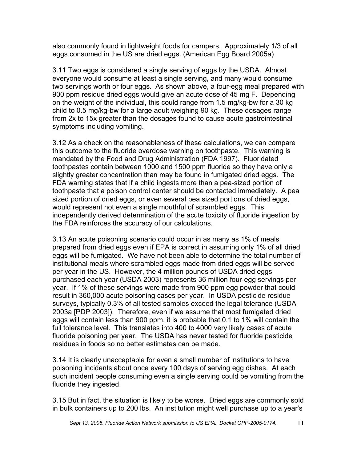also commonly found in lightweight foods for campers. Approximately 1/3 of all eggs consumed in the US are dried eggs. (American Egg Board 2005a)

3.11 Two eggs is considered a single serving of eggs by the USDA. Almost everyone would consume at least a single serving, and many would consume two servings worth or four eggs. As shown above, a four-egg meal prepared with 900 ppm residue dried eggs would give an acute dose of 45 mg F. Depending on the weight of the individual, this could range from 1.5 mg/kg-bw for a 30 kg child to 0.5 mg/kg-bw for a large adult weighing 90 kg. These dosages range from 2x to 15x greater than the dosages found to cause acute gastrointestinal symptoms including vomiting.

3.12 As a check on the reasonableness of these calculations, we can compare this outcome to the fluoride overdose warning on toothpaste. This warning is mandated by the Food and Drug Administration (FDA 1997). Fluoridated toothpastes contain between 1000 and 1500 ppm fluoride so they have only a slightly greater concentration than may be found in fumigated dried eggs. The FDA warning states that if a child ingests more than a pea-sized portion of toothpaste that a poison control center should be contacted immediately. A pea sized portion of dried eggs, or even several pea sized portions of dried eggs, would represent not even a single mouthful of scrambled eggs. This independently derived determination of the acute toxicity of fluoride ingestion by the FDA reinforces the accuracy of our calculations.

3.13 An acute poisoning scenario could occur in as many as 1% of meals prepared from dried eggs even if EPA is correct in assuming only 1% of all dried eggs will be fumigated. We have not been able to determine the total number of institutional meals where scrambled eggs made from dried eggs will be served per year in the US. However, the 4 million pounds of USDA dried eggs purchased each year (USDA 2003) represents 36 million four-egg servings per year. If 1% of these servings were made from 900 ppm egg powder that could result in 360,000 acute poisoning cases per year. In USDA pesticide residue surveys, typically 0.3% of all tested samples exceed the legal tolerance (USDA 2003a [PDP 2003]). Therefore, even if we assume that most fumigated dried eggs will contain less than 900 ppm, it is probable that 0.1 to 1% will contain the full tolerance level. This translates into 400 to 4000 very likely cases of acute fluoride poisoning per year. The USDA has never tested for fluoride pesticide residues in foods so no better estimates can be made.

3.14 It is clearly unacceptable for even a small number of institutions to have poisoning incidents about once every 100 days of serving egg dishes. At each such incident people consuming even a single serving could be vomiting from the fluoride they ingested.

3.15 But in fact, the situation is likely to be worse. Dried eggs are commonly sold in bulk containers up to 200 lbs. An institution might well purchase up to a year's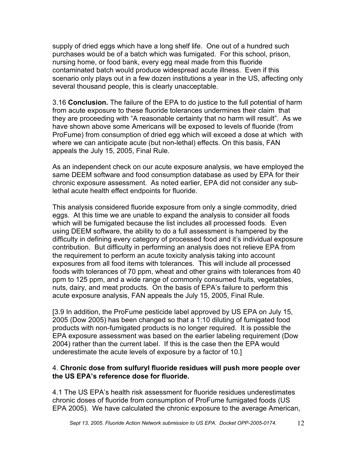supply of dried eggs which have a long shelf life. One out of a hundred such purchases would be of a batch which was fumigated. For this school, prison, nursing home, or food bank, every egg meal made from this fluoride contaminated batch would produce widespread acute illness. Even if this scenario only plays out in a few dozen institutions a year in the US, affecting only several thousand people, this is clearly unacceptable.

3.16 **Conclusion.** The failure of the EPA to do justice to the full potential of harm from acute exposure to these fluoride tolerances undermines their claim that they are proceeding with "A reasonable certainty that no harm will result". As we have shown above some Americans will be exposed to levels of fluoride (from ProFume) from consumption of dried egg which will exceed a dose at which with where we can anticipate acute (but non-lethal) effects. On this basis, FAN appeals the July 15, 2005, Final Rule.

As an independent check on our acute exposure analysis, we have employed the same DEEM software and food consumption database as used by EPA for their chronic exposure assessment. As noted earlier, EPA did not consider any sublethal acute health effect endpoints for fluoride.

This analysis considered fluoride exposure from only a single commodity, dried eggs. At this time we are unable to expand the analysis to consider all foods which will be fumigated because the list includes all processed foods. Even using DEEM software, the ability to do a full assessment is hampered by the difficulty in defining every category of processed food and it's individual exposure contribution. But difficulty in performing an analysis does not relieve EPA from the requirement to perform an acute toxicity analysis taking into account exposures from all food items with tolerances. This will include all processed foods with tolerances of 70 ppm, wheat and other grains with tolerances from 40 ppm to 125 ppm, and a wide range of commonly consumed fruits, vegetables, nuts, dairy, and meat products. On the basis of EPA's failure to perform this acute exposure analysis, FAN appeals the July 15, 2005, Final Rule.

[3.9 In addition, the ProFume pesticide label approved by US EPA on July 15, 2005 (Dow 2005) has been changed so that a 1:10 diluting of fumigated food products with non-fumigated products is no longer required. It is possible the EPA exposure assessment was based on the earlier labeling requirement (Dow 2004) rather than the current label. If this is the case then the EPA would underestimate the acute levels of exposure by a factor of 10.]

#### 4. **Chronic dose from sulfuryl fluoride residues will push more people over the US EPA's reference dose for fluoride.**

4.1 The US EPA's health risk assessment for fluoride residues underestimates chronic doses of fluoride from consumption of ProFume fumigated foods (US EPA 2005). We have calculated the chronic exposure to the average American,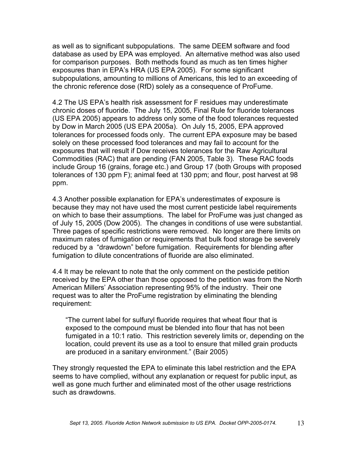as well as to significant subpopulations. The same DEEM software and food database as used by EPA was employed. An alternative method was also used for comparison purposes. Both methods found as much as ten times higher exposures than in EPA's HRA (US EPA 2005). For some significant subpopulations, amounting to millions of Americans, this led to an exceeding of the chronic reference dose (RfD) solely as a consequence of ProFume.

4.2 The US EPA's health risk assessment for F residues may underestimate chronic doses of fluoride. The July 15, 2005, Final Rule for fluoride tolerances (US EPA 2005) appears to address only some of the food tolerances requested by Dow in March 2005 (US EPA 2005a). On July 15, 2005, EPA approved tolerances for processed foods only. The current EPA exposure may be based solely on these processed food tolerances and may fail to account for the exposures that will result if Dow receives tolerances for the Raw Agricultural Commodities (RAC) that are pending (FAN 2005, Table 3). These RAC foods include Group 16 (grains, forage etc.) and Group 17 (both Groups with proposed tolerances of 130 ppm F); animal feed at 130 ppm; and flour, post harvest at 98 ppm.

4.3 Another possible explanation for EPA's underestimates of exposure is because they may not have used the most current pesticide label requirements on which to base their assumptions. The label for ProFume was just changed as of July 15, 2005 (Dow 2005). The changes in conditions of use were substantial. Three pages of specific restrictions were removed. No longer are there limits on maximum rates of fumigation or requirements that bulk food storage be severely reduced by a "drawdown" before fumigation. Requirements for blending after fumigation to dilute concentrations of fluoride are also eliminated.

4.4 It may be relevant to note that the only comment on the pesticide petition received by the EPA other than those opposed to the petition was from the North American Millers' Association representing 95% of the industry. Their one request was to alter the ProFume registration by eliminating the blending requirement:

"The current label for sulfuryl fluoride requires that wheat flour that is exposed to the compound must be blended into flour that has not been fumigated in a 10:1 ratio. This restriction severely limits or, depending on the location, could prevent its use as a tool to ensure that milled grain products are produced in a sanitary environment." (Bair 2005)

They strongly requested the EPA to eliminate this label restriction and the EPA seems to have complied, without any explanation or request for public input, as well as gone much further and eliminated most of the other usage restrictions such as drawdowns.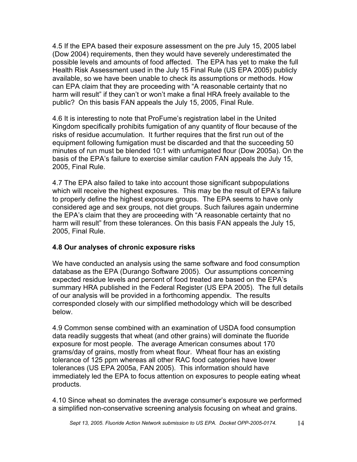4.5 If the EPA based their exposure assessment on the pre July 15, 2005 label (Dow 2004) requirements, then they would have severely underestimated the possible levels and amounts of food affected. The EPA has yet to make the full Health Risk Assessment used in the July 15 Final Rule (US EPA 2005) publicly available, so we have been unable to check its assumptions or methods. How can EPA claim that they are proceeding with "A reasonable certainty that no harm will result" if they can't or won't make a final HRA freely available to the public? On this basis FAN appeals the July 15, 2005, Final Rule.

4.6 It is interesting to note that ProFume's registration label in the United Kingdom specifically prohibits fumigation of any quantity of flour because of the risks of residue accumulation. It further requires that the first run out of the equipment following fumigation must be discarded and that the succeeding 50 minutes of run must be blended 10:1 with unfumigated flour (Dow 2005a). On the basis of the EPA's failure to exercise similar caution FAN appeals the July 15, 2005, Final Rule.

4.7 The EPA also failed to take into account those significant subpopulations which will receive the highest exposures. This may be the result of EPA's failure to properly define the highest exposure groups. The EPA seems to have only considered age and sex groups, not diet groups. Such failures again undermine the EPA's claim that they are proceeding with "A reasonable certainty that no harm will result" from these tolerances. On this basis FAN appeals the July 15, 2005, Final Rule.

# **4.8 Our analyses of chronic exposure risks**

We have conducted an analysis using the same software and food consumption database as the EPA (Durango Software 2005). Our assumptions concerning expected residue levels and percent of food treated are based on the EPA's summary HRA published in the Federal Register (US EPA 2005). The full details of our analysis will be provided in a forthcoming appendix. The results corresponded closely with our simplified methodology which will be described below.

4.9 Common sense combined with an examination of USDA food consumption data readily suggests that wheat (and other grains) will dominate the fluoride exposure for most people. The average American consumes about 170 grams/day of grains, mostly from wheat flour. Wheat flour has an existing tolerance of 125 ppm whereas all other RAC food categories have lower tolerances (US EPA 2005a, FAN 2005). This information should have immediately led the EPA to focus attention on exposures to people eating wheat products.

4.10 Since wheat so dominates the average consumer's exposure we performed a simplified non-conservative screening analysis focusing on wheat and grains.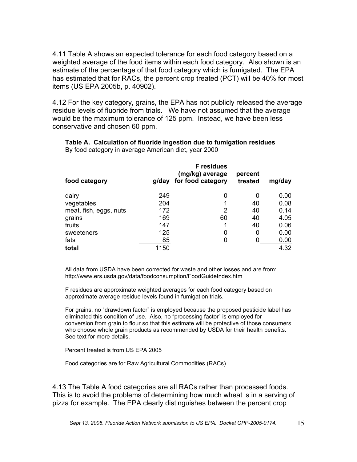4.11 Table A shows an expected tolerance for each food category based on a weighted average of the food items within each food category. Also shown is an estimate of the percentage of that food category which is fumigated. The EPA has estimated that for RACs, the percent crop treated (PCT) will be 40% for most items (US EPA 2005b, p. 40902).

4.12 For the key category, grains, the EPA has not publicly released the average residue levels of fluoride from trials. We have not assumed that the average would be the maximum tolerance of 125 ppm. Instead, we have been less conservative and chosen 60 ppm.

| food category          | g/day | <b>F</b> residues<br>(mg/kg) average<br>for food category | percent<br>treated | mg/day |
|------------------------|-------|-----------------------------------------------------------|--------------------|--------|
| dairy                  | 249   | 0                                                         | 0                  | 0.00   |
| vegetables             | 204   | 1                                                         | 40                 | 0.08   |
| meat, fish, eggs, nuts | 172   | 2                                                         | 40                 | 0.14   |
| grains                 | 169   | 60                                                        | 40                 | 4.05   |
| fruits                 | 147   | 1                                                         | 40                 | 0.06   |
| sweeteners             | 125   | 0                                                         | 0                  | 0.00   |
| fats                   | 85    | 0                                                         |                    | 0.00   |
| total                  | 1150  |                                                           |                    | 4.32   |

**Table A. Calculation of fluoride ingestion due to fumigation residues** By food category in average American diet, year 2000

All data from USDA have been corrected for waste and other losses and are from: http://www.ers.usda.gov/data/foodconsumption/FoodGuideIndex.htm

F residues are approximate weighted averages for each food category based on approximate average residue levels found in fumigation trials.

For grains, no "drawdown factor" is employed because the proposed pesticide label has eliminated this condition of use. Also, no "processing factor" is employed for conversion from grain to flour so that this estimate will be protective of those consumers who choose whole grain products as recommended by USDA for their health benefits. See text for more details.

Percent treated is from US EPA 2005

Food categories are for Raw Agricultural Commodities (RACs)

4.13 The Table A food categories are all RACs rather than processed foods. This is to avoid the problems of determining how much wheat is in a serving of pizza for example. The EPA clearly distinguishes between the percent crop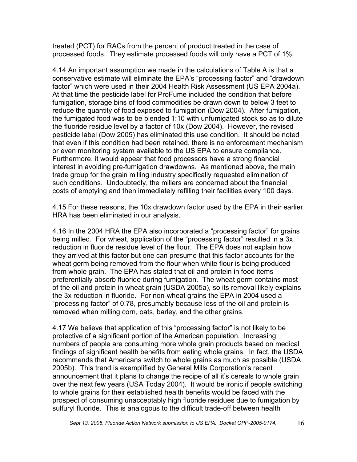treated (PCT) for RACs from the percent of product treated in the case of processed foods. They estimate processed foods will only have a PCT of 1%.

4.14 An important assumption we made in the calculations of Table A is that a conservative estimate will eliminate the EPA's "processing factor" and "drawdown factor" which were used in their 2004 Health Risk Assessment (US EPA 2004a). At that time the pesticide label for ProFume included the condition that before fumigation, storage bins of food commodities be drawn down to below 3 feet to reduce the quantity of food exposed to fumigation (Dow 2004). After fumigation, the fumigated food was to be blended 1:10 with unfumigated stock so as to dilute the fluoride residue level by a factor of 10x (Dow 2004). However, the revised pesticide label (Dow 2005) has eliminated this use condition. It should be noted that even if this condition had been retained, there is no enforcement mechanism or even monitoring system available to the US EPA to ensure compliance. Furthermore, it would appear that food processors have a strong financial interest in avoiding pre-fumigation drawdowns. As mentioned above, the main trade group for the grain milling industry specifically requested elimination of such conditions. Undoubtedly, the millers are concerned about the financial costs of emptying and then immediately refilling their facilities every 100 days.

4.15 For these reasons, the 10x drawdown factor used by the EPA in their earlier HRA has been eliminated in our analysis.

4.16 In the 2004 HRA the EPA also incorporated a "processing factor" for grains being milled. For wheat, application of the "processing factor" resulted in a 3x reduction in fluoride residue level of the flour. The EPA does not explain how they arrived at this factor but one can presume that this factor accounts for the wheat germ being removed from the flour when white flour is being produced from whole grain. The EPA has stated that oil and protein in food items preferentially absorb fluoride during fumigation. The wheat germ contains most of the oil and protein in wheat grain (USDA 2005a), so its removal likely explains the 3x reduction in fluoride. For non-wheat grains the EPA in 2004 used a "processing factor" of 0.78, presumably because less of the oil and protein is removed when milling corn, oats, barley, and the other grains.

4.17 We believe that application of this "processing factor" is not likely to be protective of a significant portion of the American population. Increasing numbers of people are consuming more whole grain products based on medical findings of significant health benefits from eating whole grains. In fact, the USDA recommends that Americans switch to whole grains as much as possible (USDA 2005b). This trend is exemplified by General Mills Corporation's recent announcement that it plans to change the recipe of all it's cereals to whole grain over the next few years (USA Today 2004). It would be ironic if people switching to whole grains for their established health benefits would be faced with the prospect of consuming unacceptably high fluoride residues due to fumigation by sulfuryl fluoride. This is analogous to the difficult trade-off between health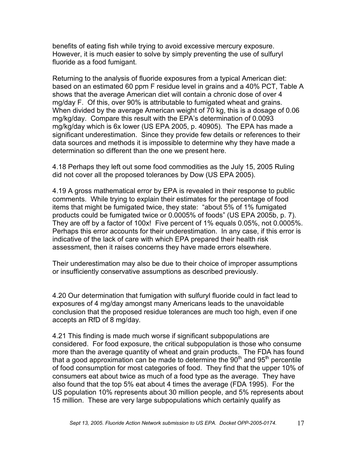benefits of eating fish while trying to avoid excessive mercury exposure. However, it is much easier to solve by simply preventing the use of sulfuryl fluoride as a food fumigant.

Returning to the analysis of fluoride exposures from a typical American diet: based on an estimated 60 ppm F residue level in grains and a 40% PCT, Table A shows that the average American diet will contain a chronic dose of over 4 mg/day F. Of this, over 90% is attributable to fumigated wheat and grains. When divided by the average American weight of 70 kg, this is a dosage of 0.06 mg/kg/day. Compare this result with the EPA's determination of 0.0093 mg/kg/day which is 6x lower (US EPA 2005, p. 40905). The EPA has made a significant underestimation. Since they provide few details or references to their data sources and methods it is impossible to determine why they have made a determination so different than the one we present here.

4.18 Perhaps they left out some food commodities as the July 15, 2005 Ruling did not cover all the proposed tolerances by Dow (US EPA 2005).

4.19 A gross mathematical error by EPA is revealed in their response to public comments. While trying to explain their estimates for the percentage of food items that might be fumigated twice, they state: "about 5% of 1% fumigated products could be fumigated twice or 0.0005% of foods" (US EPA 2005b, p. 7). They are off by a factor of 100x! Five percent of 1% equals 0.05%, not 0.0005%. Perhaps this error accounts for their underestimation. In any case, if this error is indicative of the lack of care with which EPA prepared their health risk assessment, then it raises concerns they have made errors elsewhere.

Their underestimation may also be due to their choice of improper assumptions or insufficiently conservative assumptions as described previously.

4.20 Our determination that fumigation with sulfuryl fluoride could in fact lead to exposures of 4 mg/day amongst many Americans leads to the unavoidable conclusion that the proposed residue tolerances are much too high, even if one accepts an RfD of 8 mg/day.

4.21 This finding is made much worse if significant subpopulations are considered. For food exposure, the critical subpopulation is those who consume more than the average quantity of wheat and grain products. The FDA has found that a good approximation can be made to determine the  $90<sup>th</sup>$  and  $95<sup>th</sup>$  percentile of food consumption for most categories of food. They find that the upper 10% of consumers eat about twice as much of a food type as the average. They have also found that the top 5% eat about 4 times the average (FDA 1995). For the US population 10% represents about 30 million people, and 5% represents about 15 million. These are very large subpopulations which certainly qualify as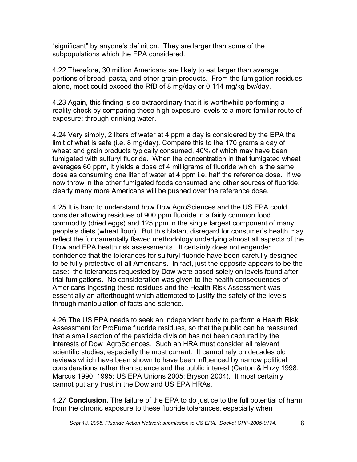"significant" by anyone's definition. They are larger than some of the subpopulations which the EPA considered.

4.22 Therefore, 30 million Americans are likely to eat larger than average portions of bread, pasta, and other grain products. From the fumigation residues alone, most could exceed the RfD of 8 mg/day or 0.114 mg/kg-bw/day.

4.23 Again, this finding is so extraordinary that it is worthwhile performing a reality check by comparing these high exposure levels to a more familiar route of exposure: through drinking water.

4.24 Very simply, 2 liters of water at 4 ppm a day is considered by the EPA the limit of what is safe (i.e. 8 mg/day). Compare this to the 170 grams a day of wheat and grain products typically consumed, 40% of which may have been fumigated with sulfuryl fluoride. When the concentration in that fumigated wheat averages 60 ppm, it yields a dose of 4 milligrams of fluoride which is the same dose as consuming one liter of water at 4 ppm i.e. half the reference dose. If we now throw in the other fumigated foods consumed and other sources of fluoride, clearly many more Americans will be pushed over the reference dose.

4.25 It is hard to understand how Dow AgroSciences and the US EPA could consider allowing residues of 900 ppm fluoride in a fairly common food commodity (dried eggs) and 125 ppm in the single largest component of many people's diets (wheat flour). But this blatant disregard for consumer's health may reflect the fundamentally flawed methodology underlying almost all aspects of the Dow and EPA health risk assessments. It certainly does not engender confidence that the tolerances for sulfuryl fluoride have been carefully designed to be fully protective of all Americans. In fact, just the opposite appears to be the case: the tolerances requested by Dow were based solely on levels found after trial fumigations. No consideration was given to the health consequences of Americans ingesting these residues and the Health Risk Assessment was essentially an afterthought which attempted to justify the safety of the levels through manipulation of facts and science.

4.26 The US EPA needs to seek an independent body to perform a Health Risk Assessment for ProFume fluoride residues, so that the public can be reassured that a small section of the pesticide division has not been captured by the interests of Dow AgroSciences. Such an HRA must consider all relevant scientific studies, especially the most current. It cannot rely on decades old reviews which have been shown to have been influenced by narrow political considerations rather than science and the public interest (Carton & Hirzy 1998; Marcus 1990, 1995; US EPA Unions 2005; Bryson 2004). It most certainly cannot put any trust in the Dow and US EPA HRAs.

4.27 **Conclusion.** The failure of the EPA to do justice to the full potential of harm from the chronic exposure to these fluoride tolerances, especially when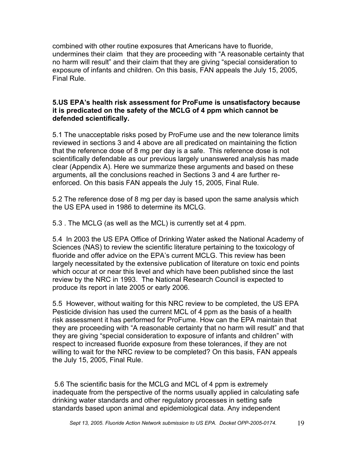combined with other routine exposures that Americans have to fluoride, undermines their claim that they are proceeding with "A reasonable certainty that no harm will result" and their claim that they are giving "special consideration to exposure of infants and children. On this basis, FAN appeals the July 15, 2005, Final Rule.

#### **5.US EPA's health risk assessment for ProFume is unsatisfactory because it is predicated on the safety of the MCLG of 4 ppm which cannot be defended scientifically.**

5.1 The unacceptable risks posed by ProFume use and the new tolerance limits reviewed in sections 3 and 4 above are all predicated on maintaining the fiction that the reference dose of 8 mg per day is a safe. This reference dose is not scientifically defendable as our previous largely unanswered analysis has made clear (Appendix A). Here we summarize these arguments and based on these arguments, all the conclusions reached in Sections 3 and 4 are further reenforced. On this basis FAN appeals the July 15, 2005, Final Rule.

5.2 The reference dose of 8 mg per day is based upon the same analysis which the US EPA used in 1986 to determine its MCLG.

5.3 . The MCLG (as well as the MCL) is currently set at 4 ppm.

5.4 In 2003 the US EPA Office of Drinking Water asked the National Academy of Sciences (NAS) to review the scientific literature pertaining to the toxicology of fluoride and offer advice on the EPA's current MCLG. This review has been largely necessitated by the extensive publication of literature on toxic end points which occur at or near this level and which have been published since the last review by the NRC in 1993. The National Research Council is expected to produce its report in late 2005 or early 2006.

5.5 However, without waiting for this NRC review to be completed, the US EPA Pesticide division has used the current MCL of 4 ppm as the basis of a health risk assessment it has performed for ProFume. How can the EPA maintain that they are proceeding with "A reasonable certainty that no harm will result" and that they are giving "special consideration to exposure of infants and children" with respect to increased fluoride exposure from these tolerances, if they are not willing to wait for the NRC review to be completed? On this basis, FAN appeals the July 15, 2005, Final Rule.

5.6 The scientific basis for the MCLG and MCL of 4 ppm is extremely inadequate from the perspective of the norms usually applied in calculating safe drinking water standards and other regulatory processes in setting safe standards based upon animal and epidemiological data. Any independent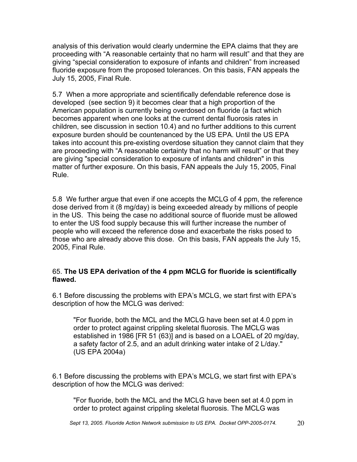analysis of this derivation would clearly undermine the EPA claims that they are proceeding with "A reasonable certainty that no harm will result" and that they are giving "special consideration to exposure of infants and children" from increased fluoride exposure from the proposed tolerances. On this basis, FAN appeals the July 15, 2005, Final Rule.

5.7 When a more appropriate and scientifically defendable reference dose is developed (see section 9) it becomes clear that a high proportion of the American population is currently being overdosed on fluoride (a fact which becomes apparent when one looks at the current dental fluorosis rates in children, see discussion in section 10.4) and no further additions to this current exposure burden should be countenanced by the US EPA. Until the US EPA takes into account this pre-existing overdose situation they cannot claim that they are proceeding with "A reasonable certainty that no harm will result" or that they are giving "special consideration to exposure of infants and children" in this matter of further exposure. On this basis, FAN appeals the July 15, 2005, Final Rule.

5.8 We further argue that even if one accepts the MCLG of 4 ppm, the reference dose derived from it (8 mg/day) is being exceeded already by millions of people in the US. This being the case no additional source of fluoride must be allowed to enter the US food supply because this will further increase the number of people who will exceed the reference dose and exacerbate the risks posed to those who are already above this dose. On this basis, FAN appeals the July 15, 2005, Final Rule.

#### 65. **The US EPA derivation of the 4 ppm MCLG for fluoride is scientifically flawed.**

6.1 Before discussing the problems with EPA's MCLG, we start first with EPA's description of how the MCLG was derived:

"For fluoride, both the MCL and the MCLG have been set at 4.0 ppm in order to protect against crippling skeletal fluorosis. The MCLG was established in 1986 [FR 51 (63)] and is based on a LOAEL of 20 mg/day, a safety factor of 2.5, and an adult drinking water intake of 2 L/day." (US EPA 2004a)

6.1 Before discussing the problems with EPA's MCLG, we start first with EPA's description of how the MCLG was derived:

"For fluoride, both the MCL and the MCLG have been set at 4.0 ppm in order to protect against crippling skeletal fluorosis. The MCLG was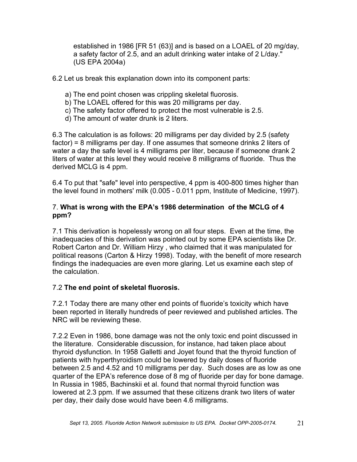established in 1986 [FR 51 (63)] and is based on a LOAEL of 20 mg/day, a safety factor of 2.5, and an adult drinking water intake of 2 L/day." (US EPA 2004a)

6.2 Let us break this explanation down into its component parts:

- a) The end point chosen was crippling skeletal fluorosis.
- b) The LOAEL offered for this was 20 milligrams per day.
- c) The safety factor offered to protect the most vulnerable is 2.5.
- d) The amount of water drunk is 2 liters.

6.3 The calculation is as follows: 20 milligrams per day divided by 2.5 (safety factor) = 8 milligrams per day. If one assumes that someone drinks 2 liters of water a day the safe level is 4 milligrams per liter, because if someone drank 2 liters of water at this level they would receive 8 milligrams of fluoride. Thus the derived MCLG is 4 ppm.

6.4 To put that "safe" level into perspective, 4 ppm is 400-800 times higher than the level found in mothers' milk (0.005 - 0.011 ppm, Institute of Medicine, 1997).

#### 7. **What is wrong with the EPA's 1986 determination of the MCLG of 4 ppm?**

7.1 This derivation is hopelessly wrong on all four steps. Even at the time, the inadequacies of this derivation was pointed out by some EPA scientists like Dr. Robert Carton and Dr. William Hirzy , who claimed that it was manipulated for political reasons (Carton & Hirzy 1998). Today, with the benefit of more research findings the inadequacies are even more glaring. Let us examine each step of the calculation.

# 7.2 **The end point of skeletal fluorosis.**

7.2.1 Today there are many other end points of fluoride's toxicity which have been reported in literally hundreds of peer reviewed and published articles. The NRC will be reviewing these.

7.2.2 Even in 1986, bone damage was not the only toxic end point discussed in the literature. Considerable discussion, for instance, had taken place about thyroid dysfunction. In 1958 Galletti and Joyet found that the thyroid function of patients with hyperthyroidism could be lowered by daily doses of fluoride between 2.5 and 4.52 and 10 milligrams per day. Such doses are as low as one quarter of the EPA's reference dose of 8 mg of fluoride per day for bone damage. In Russia in 1985, Bachinskii et al. found that normal thyroid function was lowered at 2.3 ppm. If we assumed that these citizens drank two liters of water per day, their daily dose would have been 4.6 milligrams.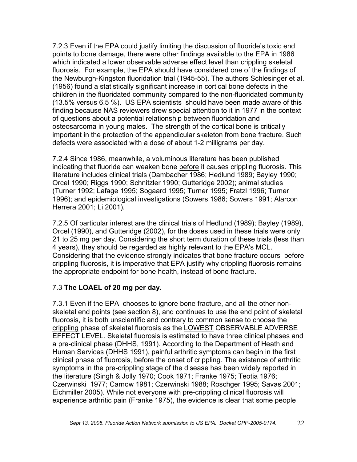7.2.3 Even if the EPA could justify limiting the discussion of fluoride's toxic end points to bone damage, there were other findings available to the EPA in 1986 which indicated a lower observable adverse effect level than crippling skeletal fluorosis. For example, the EPA should have considered one of the findings of the Newburgh-Kingston fluoridation trial (1945-55). The authors Schlesinger et al. (1956) found a statistically significant increase in cortical bone defects in the children in the fluoridated community compared to the non-fluoridated community (13.5% versus 6.5 %). US EPA scientists should have been made aware of this finding because NAS reviewers drew special attention to it in 1977 in the context of questions about a potential relationship between fluoridation and osteosarcoma in young males. The strength of the cortical bone is critically important in the protection of the appendicular skeleton from bone fracture. Such defects were associated with a dose of about 1-2 milligrams per day.

7.2.4 Since 1986, meanwhile, a voluminous literature has been published indicating that fluoride can weaken bone before it causes crippling fluorosis. This literature includes clinical trials (Dambacher 1986; Hedlund 1989; Bayley 1990; Orcel 1990; Riggs 1990; Schnitzler 1990; Gutteridge 2002); animal studies (Turner 1992; Lafage 1995; Sogaard 1995; Turner 1995; Fratzl 1996; Turner 1996); and epidemiological investigations (Sowers 1986; Sowers 1991; Alarcon Herrera 2001; Li 2001).

7.2.5 Of particular interest are the clinical trials of Hedlund (1989); Bayley (1989), Orcel (1990), and Gutteridge (2002), for the doses used in these trials were only 21 to 25 mg per day. Considering the short term duration of these trials (less than 4 years), they should be regarded as highly relevant to the EPA's MCL. Considering that the evidence strongly indicates that bone fracture occurs before crippling fluorosis, it is imperative that EPA justify why crippling fluorosis remains the appropriate endpoint for bone health, instead of bone fracture.

# 7.3 **The LOAEL of 20 mg per day.**

7.3.1 Even if the EPA chooses to ignore bone fracture, and all the other nonskeletal end points (see section 8), and continues to use the end point of skeletal fluorosis, it is both unscientific and contrary to common sense to choose the crippling phase of skeletal fluorosis as the LOWEST OBSERVABLE ADVERSE EFFECT LEVEL. Skeletal fluorosis is estimated to have three clinical phases and a pre-clinical phase (DHHS, 1991). According to the Department of Heath and Human Services (DHHS 1991), painful arthritic symptoms can begin in the first clinical phase of fluorosis, before the onset of crippling. The existence of arthritic symptoms in the pre-crippling stage of the disease has been widely reported in the literature (Singh & Jolly 1970; Cook 1971; Franke 1975; Teotia 1976; Czerwinski 1977; Carnow 1981; Czerwinski 1988; Roschger 1995; Savas 2001; Eichmiller 2005). While not everyone with pre-crippling clinical fluorosis will experience arthritic pain (Franke 1975), the evidence is clear that some people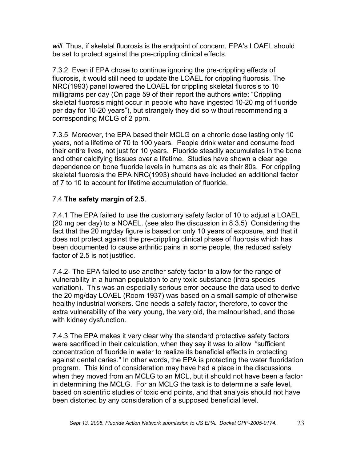*will*. Thus, if skeletal fluorosis is the endpoint of concern, EPA's LOAEL should be set to protect against the pre-crippling clinical effects.

7.3.2 Even if EPA chose to continue ignoring the pre-crippling effects of fluorosis, it would still need to update the LOAEL for crippling fluorosis. The NRC(1993) panel lowered the LOAEL for crippling skeletal fluorosis to 10 milligrams per day (On page 59 of their report the authors write: "Crippling skeletal fluorosis might occur in people who have ingested 10-20 mg of fluoride per day for 10-20 years"), but strangely they did so without recommending a corresponding MCLG of 2 ppm.

7.3.5 Moreover, the EPA based their MCLG on a chronic dose lasting only 10 years, not a lifetime of 70 to 100 years. People drink water and consume food their entire lives, not just for 10 years. Fluoride steadily accumulates in the bone and other calcifying tissues over a lifetime. Studies have shown a clear age dependence on bone fluoride levels in humans as old as their 80s. For crippling skeletal fluorosis the EPA NRC(1993) should have included an additional factor of 7 to 10 to account for lifetime accumulation of fluoride.

# 7.4 **The safety margin of 2.5**.

7.4.1 The EPA failed to use the customary safety factor of 10 to adjust a LOAEL (20 mg per day) to a NOAEL. (see also the discussion in 8.3.5) Considering the fact that the 20 mg/day figure is based on only 10 years of exposure, and that it does not protect against the pre-crippling clinical phase of fluorosis which has been documented to cause arthritic pains in some people, the reduced safety factor of 2.5 is not justified.

7.4.2- The EPA failed to use another safety factor to allow for the range of vulnerability in a human population to any toxic substance (intra-species variation). This was an especially serious error because the data used to derive the 20 mg/day LOAEL (Room 1937) was based on a small sample of otherwise healthy industrial workers. One needs a safety factor, therefore, to cover the extra vulnerability of the very young, the very old, the malnourished, and those with kidney dysfunction.

7.4.3 The EPA makes it very clear why the standard protective safety factors were sacrificed in their calculation, when they say it was to allow "sufficient concentration of fluoride in water to realize its beneficial effects in protecting against dental caries." In other words, the EPA is protecting the water fluoridation program. This kind of consideration may have had a place in the discussions when they moved from an MCLG to an MCL, but it should not have been a factor in determining the MCLG. For an MCLG the task is to determine a safe level, based on scientific studies of toxic end points, and that analysis should not have been distorted by any consideration of a supposed beneficial level.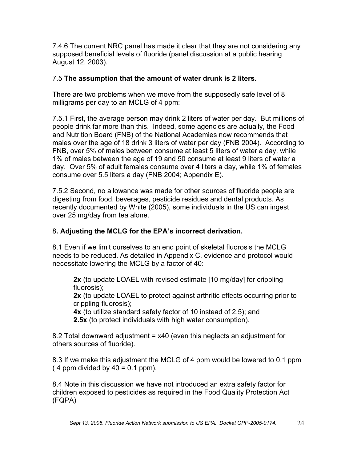7.4.6 The current NRC panel has made it clear that they are not considering any supposed beneficial levels of fluoride (panel discussion at a public hearing August 12, 2003).

# 7.5 **The assumption that the amount of water drunk is 2 liters.**

There are two problems when we move from the supposedly safe level of 8 milligrams per day to an MCLG of 4 ppm:

7.5.1 First, the average person may drink 2 liters of water per day. But millions of people drink far more than this. Indeed, some agencies are actually, the Food and Nutrition Board (FNB) of the National Academies now recommends that males over the age of 18 drink 3 liters of water per day (FNB 2004). According to FNB, over 5% of males between consume at least 5 liters of water a day, while 1% of males between the age of 19 and 50 consume at least 9 liters of water a day. Over 5% of adult females consume over 4 liters a day, while 1% of females consume over 5.5 liters a day (FNB 2004; Appendix E).

7.5.2 Second, no allowance was made for other sources of fluoride people are digesting from food, beverages, pesticide residues and dental products. As recently documented by White (2005), some individuals in the US can ingest over 25 mg/day from tea alone.

# 8**. Adjusting the MCLG for the EPA's incorrect derivation.**

8.1 Even if we limit ourselves to an end point of skeletal fluorosis the MCLG needs to be reduced. As detailed in Appendix C, evidence and protocol would necessitate lowering the MCLG by a factor of 40:

**2x** (to update LOAEL with revised estimate [10 mg/day] for crippling fluorosis);

**2x** (to update LOAEL to protect against arthritic effects occurring prior to crippling fluorosis);

**4x** (to utilize standard safety factor of 10 instead of 2.5); and **2.5x** (to protect individuals with high water consumption).

8.2 Total downward adjustment = x40 (even this neglects an adjustment for others sources of fluoride).

8.3 If we make this adjustment the MCLG of 4 ppm would be lowered to 0.1 ppm  $(4$  ppm divided by  $40 = 0.1$  ppm).

8.4 Note in this discussion we have not introduced an extra safety factor for children exposed to pesticides as required in the Food Quality Protection Act (FQPA)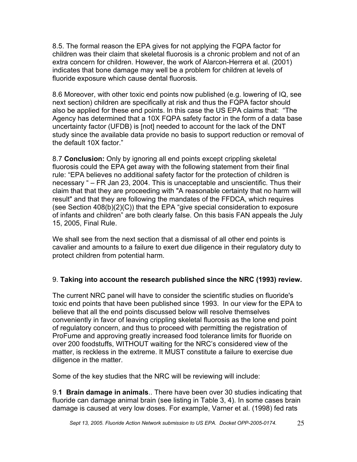8.5. The formal reason the EPA gives for not applying the FQPA factor for children was their claim that skeletal fluorosis is a chronic problem and not of an extra concern for children. However, the work of Alarcon-Herrera et al. (2001) indicates that bone damage may well be a problem for children at levels of fluoride exposure which cause dental fluorosis.

8.6 Moreover, with other toxic end points now published (e.g. lowering of IQ, see next section) children are specifically at risk and thus the FQPA factor should also be applied for these end points. In this case the US EPA claims that: "The Agency has determined that a 10X FQPA safety factor in the form of a data base uncertainty factor (UFDB) is [not] needed to account for the lack of the DNT study since the available data provide no basis to support reduction or removal of the default 10X factor."

8.7 **Conclusion:** Only by ignoring all end points except crippling skeletal fluorosis could the EPA get away with the following statement from their final rule: "EPA believes no additional safety factor for the protection of children is necessary " – FR Jan 23, 2004. This is unacceptable and unscientific. Thus their claim that that they are proceeding with "A reasonable certainty that no harm will result" and that they are following the mandates of the FFDCA, which requires (see Section 408(b)(2)(C)) that the EPA "give special consideration to exposure of infants and children" are both clearly false. On this basis FAN appeals the July 15, 2005, Final Rule.

We shall see from the next section that a dismissal of all other end points is cavalier and amounts to a failure to exert due diligence in their regulatory duty to protect children from potential harm.

# 9. **Taking into account the research published since the NRC (1993) review.**

The current NRC panel will have to consider the scientific studies on fluoride's toxic end points that have been published since 1993. In our view for the EPA to believe that all the end points discussed below will resolve themselves conveniently in favor of leaving crippling skeletal fluorosis as the lone end point of regulatory concern, and thus to proceed with permitting the registration of ProFume and approving greatly increased food tolerance limits for fluoride on over 200 foodstuffs, WITHOUT waiting for the NRC's considered view of the matter, is reckless in the extreme. It MUST constitute a failure to exercise due diligence in the matter.

Some of the key studies that the NRC will be reviewing will include:

9.**1 Brain damage in animals**.. There have been over 30 studies indicating that fluoride can damage animal brain (see listing in Table 3, 4). In some cases brain damage is caused at very low doses. For example, Varner et al. (1998) fed rats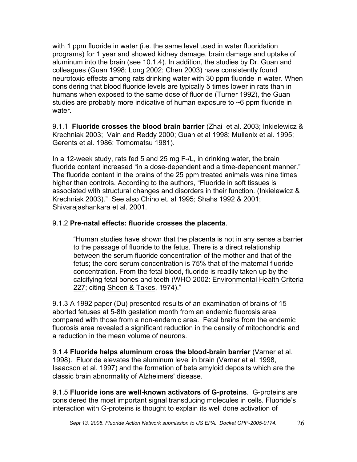with 1 ppm fluoride in water (i.e. the same level used in water fluoridation programs) for 1 year and showed kidney damage, brain damage and uptake of aluminum into the brain (see 10.1.4). In addition, the studies by Dr. Guan and colleagues (Guan 1998; Long 2002; Chen 2003) have consistently found neurotoxic effects among rats drinking water with 30 ppm fluoride in water. When considering that blood fluoride levels are typically 5 times lower in rats than in humans when exposed to the same dose of fluoride (Turner 1992), the Guan studies are probably more indicative of human exposure to  $\sim$ 6 ppm fluoride in water.

9.1.1 **Fluoride crosses the blood brain barrier** (Zhai et al. 2003; Inkielewicz & Krechniak 2003; Vain and Reddy 2000; Guan et al 1998; Mullenix et al. 1995; Gerents et al. 1986; Tomomatsu 1981).

In a 12-week study, rats fed 5 and 25 mg F-/L, in drinking water, the brain fluoride content increased "in a dose-dependent and a time-dependent manner." The fluoride content in the brains of the 25 ppm treated animals was nine times higher than controls. According to the authors, "Fluoride in soft tissues is associated with structural changes and disorders in their function. (Inkielewicz & Krechniak 2003)." See also Chino et. al 1995; Shahs 1992 & 2001; Shivarajashankara et al. 2001.

# 9.1.2 **Pre-natal effects: fluoride crosses the placenta**.

"Human studies have shown that the placenta is not in any sense a barrier to the passage of fluoride to the fetus. There is a direct relationship between the serum fluoride concentration of the mother and that of the fetus; the cord serum concentration is 75% that of the maternal fluoride concentration. From the fetal blood, fluoride is readily taken up by the calcifying fetal bones and teeth (WHO 2002: Environmental Health Criteria 227; citing Sheen & Takes, 1974)."

9.1.3 A 1992 paper (Du) presented results of an examination of brains of 15 aborted fetuses at 5-8th gestation month from an endemic fluorosis area compared with those from a non-endemic area. Fetal brains from the endemic fluorosis area revealed a significant reduction in the density of mitochondria and a reduction in the mean volume of neurons.

9.1.4 **Fluoride helps aluminum cross the blood-brain barrier** (Varner et al. 1998). Fluoride elevates the aluminum level in brain (Varner et al. 1998, Isaacson et al. 1997) and the formation of beta amyloid deposits which are the classic brain abnormality of Alzheimers' disease.

9.1.5 **Fluoride ions are well-known activators of G-proteins**. G-proteins are considered the most important signal transducing molecules in cells. Fluoride's interaction with G-proteins is thought to explain its well done activation of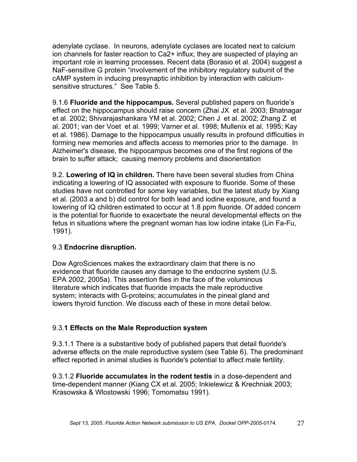adenylate cyclase. In neurons, adenylate cyclases are located next to calcium ion channels for faster reaction to Ca2+ influx; they are suspected of playing an important role in learning processes. Recent data (Borasio et al. 2004) suggest a NaF-sensitive G protein "involvement of the inhibitory regulatory subunit of the cAMP system in inducing presynaptic inhibition by interaction with calciumsensitive structures." See Table 5.

9.1.6 **Fluoride and the hippocampus.** Several published papers on fluoride's effect on the hippocampus should raise concern (Zhai JX et al. 2003; Bhatnagar et al. 2002; Shivarajashankara YM et al. 2002; Chen J et al. 2002; Zhang Z et al. 2001; van der Voet et al. 1999; Varner et al. 1998; Mullenix et al. 1995; Kay et al. 1986). Damage to the hippocampus usually results in profound difficulties in forming new memories and affects access to memories prior to the damage. In Alzheimer's disease, the hippocampus becomes one of the first regions of the brain to suffer attack; causing memory problems and disorientation

9.2. **Lowering of IQ in children.** There have been several studies from China indicating a lowering of IQ associated with exposure to fluoride. Some of these studies have not controlled for some key variables, but the latest study by Xiang et al. (2003 a and b) did control for both lead and iodine exposure, and found a lowering of IQ children estimated to occur at 1.8 ppm fluoride. Of added concern is the potential for fluoride to exacerbate the neural developmental effects on the fetus in situations where the pregnant woman has low iodine intake (Lin Fa-Fu, 1991).

# 9.3 **Endocrine disruption.**

Dow AgroSciences makes the extraordinary claim that there is no evidence that fluoride causes any damage to the endocrine system (U.S. EPA 2002, 2005a). This assertion flies in the face of the voluminous literature which indicates that fluoride impacts the male reproductive system; interacts with G-proteins; accumulates in the pineal gland and lowers thyroid function. We discuss each of these in more detail below.

# 9.3.**1 Effects on the Male Reproduction system**

9.3.1.1 There is a substantive body of published papers that detail fluoride's adverse effects on the male reproductive system (see Table 6). The predominant effect reported in animal studies is fluoride's potential to affect male fertility.

9.3.1.2 **Fluoride accumulates in the rodent testis** in a dose-dependent and time-dependent manner (Kiang CX et al. 2005; Inkielewicz & Krechniak 2003; Krasowska & Wlostowski 1996; Tomomatsu 1991).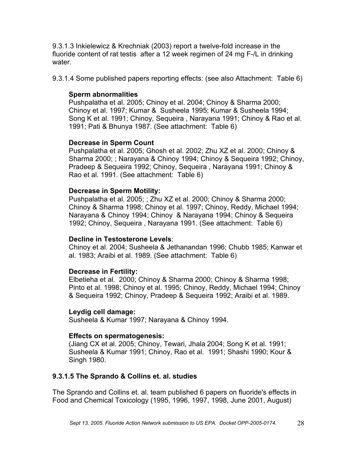9.3.1.3 Inkielewicz & Krechniak (2003) report a twelve-fold increase in the fluoride content of rat testis after a 12 week regimen of 24 mg F-/L in drinking water.

9.3.1.4 Some published papers reporting effects: (see also Attachment: Table 6)

#### **Sperm abnormalities**

Pushpalatha et al. 2005; Chinoy et al. 2004; Chinoy & Sharma 2000; Chinoy et al. 1997; Kumar & Susheela 1995; Kumar & Susheela 1994; Song K et al. 1991; Chinoy, Sequeira , Narayana 1991; Chinoy & Rao et al. 1991; Pati & Bhunya 1987. (See attachment: Table 6)

# **Decrease in Sperm Count**

Pushpalatha et al. 2005; Ghosh et al. 2002; Zhu XZ et al. 2000; Chinoy & Sharma 2000; ; Narayana & Chinoy 1994; Chinoy & Sequeira 1992; Chinoy, Pradeep & Sequeira 1992; Chinoy, Sequeira , Narayana 1991; Chinoy & Rao et al. 1991. (See attachment: Table 6)

#### **Decrease in Sperm Motility:**

Pushpalatha et al. 2005; ; Zhu XZ et al. 2000; Chinoy & Sharma 2000; Chinoy & Sharma 1998; Chinoy et al. 1997; Chinoy, Reddy, Michael 1994; Narayana & Chinoy 1994; Chinoy & Narayana 1994; Chinoy & Sequeira 1992; Chinoy, Sequeira , Narayana 1991. (See attachment: Table 6)

#### **Decline in Testosterone Levels**:

Chinoy et al. 2004; Susheela & Jethanandan 1996; Chubb 1985; Kanwar et al. 1983; Araibi et al. 1989. (See attachment: Table 6)

#### **Decrease in Fertility:**

Elbetieha et al. 2000; Chinoy & Sharma 2000; Chinoy & Sharma 1998; Pinto et al. 1998; Chinoy et al. 1995; Chinoy, Reddy, Michael 1994; Chinoy & Sequeira 1992; Chinoy, Pradeep & Sequeira 1992; Araibi et al. 1989.

#### **Leydig cell damage:**

Susheela & Kumar 1997; Narayana & Chinoy 1994.

# **Effects on spermatogenesis:**

(Jiang CX et al. 2005; Chinoy, Tewari, Jhala 2004; Song K et al. 1991; Susheela & Kumar 1991; Chinoy, Rao et al. 1991; Shashi 1990; Kour & Singh 1980.

# **9.3.1.5 The Sprando & Collins et. al. studies**

The Sprando and Collins et. al. team published 6 papers on fluoride's effects in Food and Chemical Toxicology (1995, 1996, 1997, 1998, June 2001, August)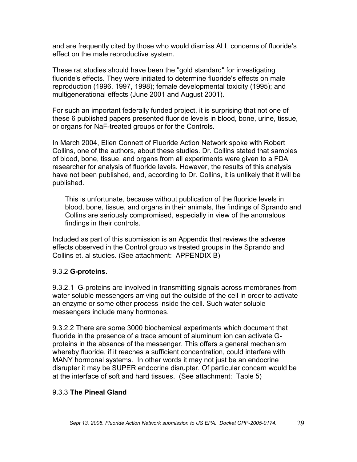and are frequently cited by those who would dismiss ALL concerns of fluoride's effect on the male reproductive system.

These rat studies should have been the "gold standard" for investigating fluoride's effects. They were initiated to determine fluoride's effects on male reproduction (1996, 1997, 1998); female developmental toxicity (1995); and multigenerational effects (June 2001 and August 2001).

For such an important federally funded project, it is surprising that not one of these 6 published papers presented fluoride levels in blood, bone, urine, tissue, or organs for NaF-treated groups or for the Controls.

In March 2004, Ellen Connett of Fluoride Action Network spoke with Robert Collins, one of the authors, about these studies. Dr. Collins stated that samples of blood, bone, tissue, and organs from all experiments were given to a FDA researcher for analysis of fluoride levels. However, the results of this analysis have not been published, and, according to Dr. Collins, it is unlikely that it will be published.

This is unfortunate, because without publication of the fluoride levels in blood, bone, tissue, and organs in their animals, the findings of Sprando and Collins are seriously compromised, especially in view of the anomalous findings in their controls.

Included as part of this submission is an Appendix that reviews the adverse effects observed in the Control group vs treated groups in the Sprando and Collins et. al studies. (See attachment: APPENDIX B)

# 9.3.2 **G-proteins.**

9.3.2.1 G-proteins are involved in transmitting signals across membranes from water soluble messengers arriving out the outside of the cell in order to activate an enzyme or some other process inside the cell. Such water soluble messengers include many hormones.

9.3.2.2 There are some 3000 biochemical experiments which document that fluoride in the presence of a trace amount of aluminum ion can activate Gproteins in the absence of the messenger. This offers a general mechanism whereby fluoride, if it reaches a sufficient concentration, could interfere with MANY hormonal systems. In other words it may not just be an endocrine disrupter it may be SUPER endocrine disrupter. Of particular concern would be at the interface of soft and hard tissues. (See attachment: Table 5)

# 9.3.3 **The Pineal Gland**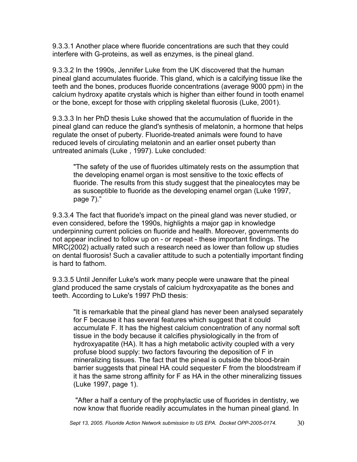9.3.3.1 Another place where fluoride concentrations are such that they could interfere with G-proteins, as well as enzymes, is the pineal gland.

9.3.3.2 In the 1990s, Jennifer Luke from the UK discovered that the human pineal gland accumulates fluoride. This gland, which is a calcifying tissue like the teeth and the bones, produces fluoride concentrations (average 9000 ppm) in the calcium hydroxy apatite crystals which is higher than either found in tooth enamel or the bone, except for those with crippling skeletal fluorosis (Luke, 2001).

9.3.3.3 In her PhD thesis Luke showed that the accumulation of fluoride in the pineal gland can reduce the gland's synthesis of melatonin, a hormone that helps regulate the onset of puberty. Fluoride-treated animals were found to have reduced levels of circulating melatonin and an earlier onset puberty than untreated animals (Luke , 1997). Luke concluded:

"The safety of the use of fluorides ultimately rests on the assumption that the developing enamel organ is most sensitive to the toxic effects of fluoride. The results from this study suggest that the pinealocytes may be as susceptible to fluoride as the developing enamel organ (Luke 1997, page 7)."

9.3.3.4 The fact that fluoride's impact on the pineal gland was never studied, or even considered, before the 1990s, highlights a major gap in knowledge underpinning current policies on fluoride and health. Moreover, governments do not appear inclined to follow up on - or repeat - these important findings. The MRC(2002) actually rated such a research need as lower than follow up studies on dental fluorosis! Such a cavalier attitude to such a potentially important finding is hard to fathom.

9.3.3.5 Until Jennifer Luke's work many people were unaware that the pineal gland produced the same crystals of calcium hydroxyapatite as the bones and teeth. According to Luke's 1997 PhD thesis:

"It is remarkable that the pineal gland has never been analysed separately for F because it has several features which suggest that it could accumulate F. It has the highest calcium concentration of any normal soft tissue in the body because it calcifies physiologically in the from of hydroxyapatite (HA). It has a high metabolic activity coupled with a very profuse blood supply: two factors favouring the deposition of F in mineralizing tissues. The fact that the pineal is outside the blood-brain barrier suggests that pineal HA could sequester F from the bloodstream if it has the same strong affinity for F as HA in the other mineralizing tissues (Luke 1997, page 1).

"After a half a century of the prophylactic use of fluorides in dentistry, we now know that fluoride readily accumulates in the human pineal gland. In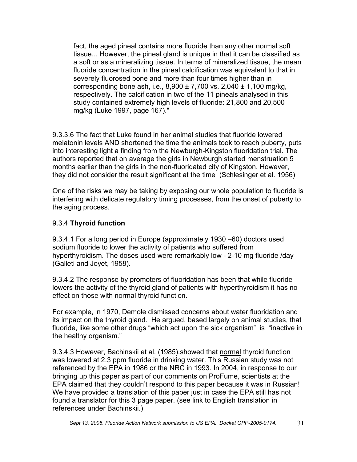fact, the aged pineal contains more fluoride than any other normal soft tissue... However, the pineal gland is unique in that it can be classified as a soft or as a mineralizing tissue. In terms of mineralized tissue, the mean fluoride concentration in the pineal calcification was equivalent to that in severely fluorosed bone and more than four times higher than in corresponding bone ash, i.e.,  $8,900 \pm 7,700$  vs.  $2,040 \pm 1,100$  mg/kg, respectively. The calcification in two of the 11 pineals analysed in this study contained extremely high levels of fluoride: 21,800 and 20,500 mg/kg (Luke 1997, page 167)."

9.3.3.6 The fact that Luke found in her animal studies that fluoride lowered melatonin levels AND shortened the time the animals took to reach puberty, puts into interesting light a finding from the Newburgh-Kingston fluoridation trial. The authors reported that on average the girls in Newburgh started menstruation 5 months earlier than the girls in the non-fluoridated city of Kingston. However, they did not consider the result significant at the time (Schlesinger et al. 1956)

One of the risks we may be taking by exposing our whole population to fluoride is interfering with delicate regulatory timing processes, from the onset of puberty to the aging process.

# 9.3.4 **Thyroid function**

9.3.4.1 For a long period in Europe (approximately 1930 –60) doctors used sodium fluoride to lower the activity of patients who suffered from hyperthyroidism. The doses used were remarkably low - 2-10 mg fluoride /day (Galleti and Joyet, 1958).

9.3.4.2 The response by promoters of fluoridation has been that while fluoride lowers the activity of the thyroid gland of patients with hyperthyroidism it has no effect on those with normal thyroid function.

For example, in 1970, Demole dismissed concerns about water fluoridation and its impact on the thyroid gland. He argued, based largely on animal studies, that fluoride, like some other drugs "which act upon the sick organism" is "inactive in the healthy organism."

9.3.4.3 However, Bachinskii et al. (1985).showed that normal thyroid function was lowered at 2.3 ppm fluoride in drinking water. This Russian study was not referenced by the EPA in 1986 or the NRC in 1993. In 2004, in response to our bringing up this paper as part of our comments on ProFume, scientists at the EPA claimed that they couldn't respond to this paper because it was in Russian! We have provided a translation of this paper just in case the EPA still has not found a translator for this 3 page paper. (see link to English translation in references under Bachinskii.)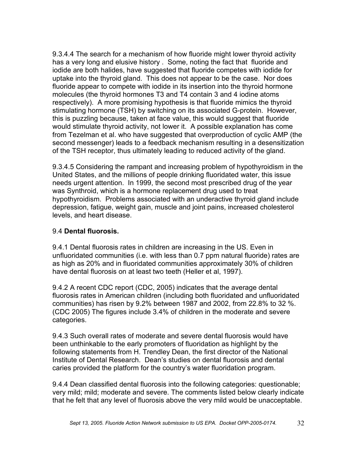9.3.4.4 The search for a mechanism of how fluoride might lower thyroid activity has a very long and elusive history . Some, noting the fact that fluoride and iodide are both halides, have suggested that fluoride competes with iodide for uptake into the thyroid gland. This does not appear to be the case. Nor does fluoride appear to compete with iodide in its insertion into the thyroid hormone molecules (the thyroid hormones T3 and T4 contain 3 and 4 iodine atoms respectively). A more promising hypothesis is that fluoride mimics the thyroid stimulating hormone (TSH) by switching on its associated G-protein. However, this is puzzling because, taken at face value, this would suggest that fluoride would stimulate thyroid activity, not lower it. A possible explanation has come from Tezelman et al. who have suggested that overproduction of cyclic AMP (the second messenger) leads to a feedback mechanism resulting in a desensitization of the TSH receptor, thus ultimately leading to reduced activity of the gland.

9.3.4.5 Considering the rampant and increasing problem of hypothyroidism in the United States, and the millions of people drinking fluoridated water, this issue needs urgent attention. In 1999, the second most prescribed drug of the year was Synthroid, which is a hormone replacement drug used to treat hypothyroidism. Problems associated with an underactive thyroid gland include depression, fatigue, weight gain, muscle and joint pains, increased cholesterol levels, and heart disease.

#### 9.4 **Dental fluorosis.**

9.4.1 Dental fluorosis rates in children are increasing in the US. Even in unfluoridated communities (i.e. with less than 0.7 ppm natural fluoride) rates are as high as 20% and in fluoridated communities approximately 30% of children have dental fluorosis on at least two teeth (Heller et al, 1997).

9.4.2 A recent CDC report (CDC, 2005) indicates that the average dental fluorosis rates in American children (including both fluoridated and unfluoridated communities) has risen by 9.2% between 1987 and 2002, from 22.8% to 32 %. (CDC 2005) The figures include 3.4% of children in the moderate and severe categories.

9.4.3 Such overall rates of moderate and severe dental fluorosis would have been unthinkable to the early promoters of fluoridation as highlight by the following statements from H. Trendley Dean, the first director of the National Institute of Dental Research. Dean's studies on dental fluorosis and dental caries provided the platform for the country's water fluoridation program.

9.4.4 Dean classified dental fluorosis into the following categories: questionable; very mild; mild; moderate and severe. The comments listed below clearly indicate that he felt that any level of fluorosis above the very mild would be unacceptable.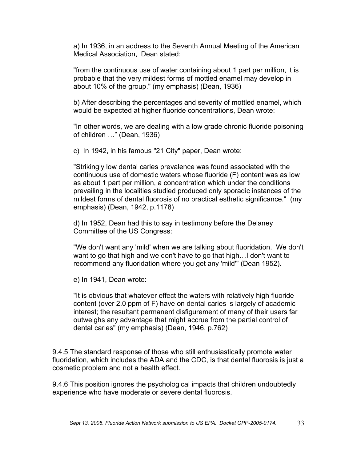a) In 1936, in an address to the Seventh Annual Meeting of the American Medical Association, Dean stated:

"from the continuous use of water containing about 1 part per million, it is probable that the very mildest forms of mottled enamel may develop in about 10% of the group." (my emphasis) (Dean, 1936)

b) After describing the percentages and severity of mottled enamel, which would be expected at higher fluoride concentrations, Dean wrote:

"In other words, we are dealing with a low grade chronic fluoride poisoning of children …" (Dean, 1936)

c) In 1942, in his famous "21 City" paper, Dean wrote:

"Strikingly low dental caries prevalence was found associated with the continuous use of domestic waters whose fluoride (F) content was as low as about 1 part per million, a concentration which under the conditions prevailing in the localities studied produced only sporadic instances of the mildest forms of dental fluorosis of no practical esthetic significance." (my emphasis) (Dean, 1942, p.1178)

d) In 1952, Dean had this to say in testimony before the Delaney Committee of the US Congress:

"We don't want any 'mild' when we are talking about fluoridation. We don't want to go that high and we don't have to go that high…I don't want to recommend any fluoridation where you get any 'mild'" (Dean 1952).

e) In 1941, Dean wrote:

"It is obvious that whatever effect the waters with relatively high fluoride content (over 2.0 ppm of F) have on dental caries is largely of academic interest; the resultant permanent disfigurement of many of their users far outweighs any advantage that might accrue from the partial control of dental caries" (my emphasis) (Dean, 1946, p.762)

9.4.5 The standard response of those who still enthusiastically promote water fluoridation, which includes the ADA and the CDC, is that dental fluorosis is just a cosmetic problem and not a health effect.

9.4.6 This position ignores the psychological impacts that children undoubtedly experience who have moderate or severe dental fluorosis.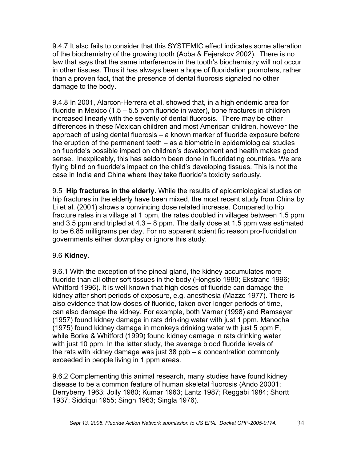9.4.7 It also fails to consider that this SYSTEMIC effect indicates some alteration of the biochemistry of the growing tooth (Aoba & Fejerskov 2002). There is no law that says that the same interference in the tooth's biochemistry will not occur in other tissues. Thus it has always been a hope of fluoridation promoters, rather than a proven fact, that the presence of dental fluorosis signaled no other damage to the body.

9.4.8 In 2001, Alarcon-Herrera et al. showed that, in a high endemic area for fluoride in Mexico (1.5 – 5.5 ppm fluoride in water), bone fractures in children increased linearly with the severity of dental fluorosis. There may be other differences in these Mexican children and most American children, however the approach of using dental fluorosis – a known marker of fluoride exposure before the eruption of the permanent teeth – as a biometric in epidemiological studies on fluoride's possible impact on children's development and health makes good sense. Inexplicably, this has seldom been done in fluoridating countries. We are flying blind on fluoride's impact on the child's developing tissues. This is not the case in India and China where they take fluoride's toxicity seriously.

9.5 **Hip fractures in the elderly.** While the results of epidemiological studies on hip fractures in the elderly have been mixed, the most recent study from China by Li et al. (2001) shows a convincing dose related increase. Compared to hip fracture rates in a village at 1 ppm, the rates doubled in villages between 1.5 ppm and 3.5 ppm and tripled at 4.3 – 8 ppm. The daily dose at 1.5 ppm was estimated to be 6.85 milligrams per day. For no apparent scientific reason pro-fluoridation governments either downplay or ignore this study.

# 9.6 **Kidney.**

9.6.1 With the exception of the pineal gland, the kidney accumulates more fluoride than all other soft tissues in the body (Hongslo 1980; Ekstrand 1996; Whitford 1996). It is well known that high doses of fluoride can damage the kidney after short periods of exposure, e.g. anesthesia (Mazze 1977). There is also evidence that low doses of fluoride, taken over longer periods of time, can also damage the kidney. For example, both Varner (1998) and Ramseyer (1957) found kidney damage in rats drinking water with just 1 ppm. Manocha (1975) found kidney damage in monkeys drinking water with just 5 ppm F, while Borke & Whitford (1999) found kidney damage in rats drinking water with just 10 ppm. In the latter study, the average blood fluoride levels of the rats with kidney damage was just 38 ppb – a concentration commonly exceeded in people living in 1 ppm areas.

9.6.2 Complementing this animal research, many studies have found kidney disease to be a common feature of human skeletal fluorosis (Ando 20001; Derryberry 1963; Jolly 1980; Kumar 1963; Lantz 1987; Reggabi 1984; Shortt 1937; Siddiqui 1955; Singh 1963; Singla 1976).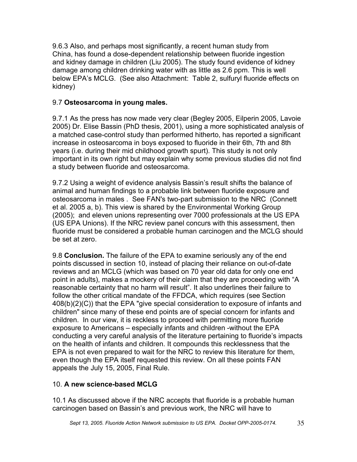9.6.3 Also, and perhaps most significantly, a recent human study from China, has found a dose-dependent relationship between fluoride ingestion and kidney damage in children (Liu 2005). The study found evidence of kidney damage among children drinking water with as little as 2.6 ppm. This is well below EPA's MCLG. (See also Attachment: Table 2, sulfuryl fluoride effects on kidney)

# 9.7 **Osteosarcoma in young males.**

9.7.1 As the press has now made very clear (Begley 2005, Eilperin 2005, Lavoie 2005) Dr. Elise Bassin (PhD thesis, 2001), using a more sophisticated analysis of a matched case-control study than performed hitherto, has reported a significant increase in osteosarcoma in boys exposed to fluoride in their 6th, 7th and 8th years (i.e. during their mid childhood growth spurt). This study is not only important in its own right but may explain why some previous studies did not find a study between fluoride and osteosarcoma.

9.7.2 Using a weight of evidence analysis Bassin's result shifts the balance of animal and human findings to a probable link between fluoride exposure and osteosarcoma in males . See FAN's two-part submission to the NRC (Connett et al. 2005 a, b). This view is shared by the Environmental Working Group (2005); and eleven unions representing over 7000 professionals at the US EPA (US EPA Unions). If the NRC review panel concurs with this assessment, then fluoride must be considered a probable human carcinogen and the MCLG should be set at zero.

9.8 **Conclusion.** The failure of the EPA to examine seriously any of the end points discussed in section 10, instead of placing their reliance on out-of-date reviews and an MCLG (which was based on 70 year old data for only one end point in adults), makes a mockery of their claim that they are proceeding with "A reasonable certainty that no harm will result". It also underlines their failure to follow the other critical mandate of the FFDCA, which requires (see Section 408(b)(2)(C)) that the EPA "give special consideration to exposure of infants and children" since many of these end points are of special concern for infants and children. In our view, it is reckless to proceed with permitting more fluoride exposure to Americans – especially infants and children -without the EPA conducting a very careful analysis of the literature pertaining to fluoride's impacts on the health of infants and children. It compounds this recklessness that the EPA is not even prepared to wait for the NRC to review this literature for them, even though the EPA itself requested this review. On all these points FAN appeals the July 15, 2005, Final Rule.

# 10. **A new science-based MCLG**

10.1 As discussed above if the NRC accepts that fluoride is a probable human carcinogen based on Bassin's and previous work, the NRC will have to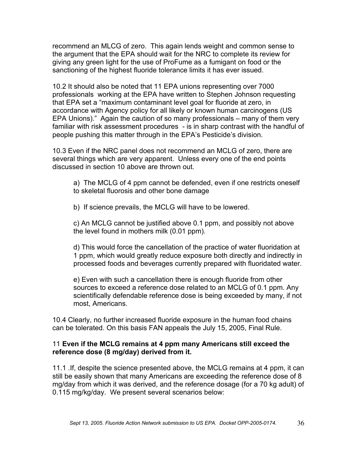recommend an MLCG of zero. This again lends weight and common sense to the argument that the EPA should wait for the NRC to complete its review for giving any green light for the use of ProFume as a fumigant on food or the sanctioning of the highest fluoride tolerance limits it has ever issued.

10.2 It should also be noted that 11 EPA unions representing over 7000 professionals working at the EPA have written to Stephen Johnson requesting that EPA set a "maximum contaminant level goal for fluoride at zero, in accordance with Agency policy for all likely or known human carcinogens (US EPA Unions)." Again the caution of so many professionals – many of them very familiar with risk assessment procedures - is in sharp contrast with the handful of people pushing this matter through in the EPA's Pesticide's division.

10.3 Even if the NRC panel does not recommend an MCLG of zero, there are several things which are very apparent. Unless every one of the end points discussed in section 10 above are thrown out.

- a) The MCLG of 4 ppm cannot be defended, even if one restricts oneself to skeletal fluorosis and other bone damage
- b) If science prevails, the MCLG will have to be lowered.

c) An MCLG cannot be justified above 0.1 ppm, and possibly not above the level found in mothers milk (0.01 ppm).

d) This would force the cancellation of the practice of water fluoridation at 1 ppm, which would greatly reduce exposure both directly and indirectly in processed foods and beverages currently prepared with fluoridated water.

e) Even with such a cancellation there is enough fluoride from other sources to exceed a reference dose related to an MCLG of 0.1 ppm. Any scientifically defendable reference dose is being exceeded by many, if not most, Americans.

10.4 Clearly, no further increased fluoride exposure in the human food chains can be tolerated. On this basis FAN appeals the July 15, 2005, Final Rule.

#### 11 **Even if the MCLG remains at 4 ppm many Americans still exceed the reference dose (8 mg/day) derived from it.**

11.1 .If, despite the science presented above, the MCLG remains at 4 ppm, it can still be easily shown that many Americans are exceeding the reference dose of 8 mg/day from which it was derived, and the reference dosage (for a 70 kg adult) of 0.115 mg/kg/day. We present several scenarios below: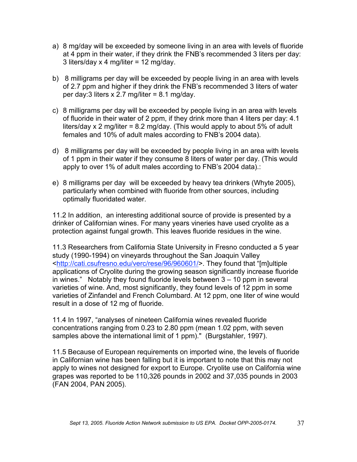- a) 8 mg/day will be exceeded by someone living in an area with levels of fluoride at 4 ppm in their water, if they drink the FNB's recommended 3 liters per day: 3 liters/day x 4 mg/liter = 12 mg/day.
- b) 8 milligrams per day will be exceeded by people living in an area with levels of 2.7 ppm and higher if they drink the FNB's recommended 3 liters of water per day: 3 liters  $x$  2.7 mg/liter = 8.1 mg/day.
- c) 8 milligrams per day will be exceeded by people living in an area with levels of fluoride in their water of 2 ppm, if they drink more than 4 liters per day: 4.1 liters/day x 2 mg/liter = 8.2 mg/day. (This would apply to about 5% of adult females and 10% of adult males according to FNB's 2004 data).
- d) 8 milligrams per day will be exceeded by people living in an area with levels of 1 ppm in their water if they consume 8 liters of water per day. (This would apply to over 1% of adult males according to FNB's 2004 data).:
- e) 8 milligrams per day will be exceeded by heavy tea drinkers (Whyte 2005), particularly when combined with fluoride from other sources, including optimally fluoridated water.

11.2 In addition, an interesting additional source of provide is presented by a drinker of Californian wines. For many years vineries have used cryolite as a protection against fungal growth. This leaves fluoride residues in the wine.

11.3 Researchers from California State University in Fresno conducted a 5 year study (1990-1994) on vineyards throughout the San Joaquin Valley <http://cati.csufresno.edu/verc/rese/96/960601/>. They found that "[m]ultiple applications of Cryolite during the growing season significantly increase fluoride in wines." Notably they found fluoride levels between 3 – 10 ppm in several varieties of wine. And, most significantly, they found levels of 12 ppm in some varieties of Zinfandel and French Columbard. At 12 ppm, one liter of wine would result in a dose of 12 mg of fluoride.

11.4 In 1997, "analyses of nineteen California wines revealed fluoride concentrations ranging from 0.23 to 2.80 ppm (mean 1.02 ppm, with seven samples above the international limit of 1 ppm)." (Burgstahler, 1997).

11.5 Because of European requirements on imported wine, the levels of fluoride in Californian wine has been falling but it is important to note that this may not apply to wines not designed for export to Europe. Cryolite use on California wine grapes was reported to be 110,326 pounds in 2002 and 37,035 pounds in 2003 (FAN 2004, PAN 2005).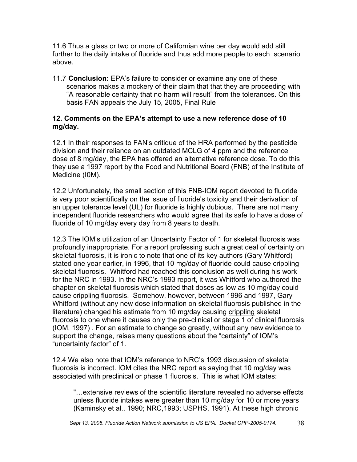11.6 Thus a glass or two or more of Californian wine per day would add still further to the daily intake of fluoride and thus add more people to each scenario above.

11.7 **Conclusion:** EPA's failure to consider or examine any one of these scenarios makes a mockery of their claim that that they are proceeding with "A reasonable certainty that no harm will result" from the tolerances. On this basis FAN appeals the July 15, 2005, Final Rule

#### **12. Comments on the EPA's attempt to use a new reference dose of 10 mg/day.**

12.1 In their responses to FAN's critique of the HRA performed by the pesticide division and their reliance on an outdated MCLG of 4 ppm and the reference dose of 8 mg/day, the EPA has offered an alternative reference dose. To do this they use a 1997 report by the Food and Nutritional Board (FNB) of the Institute of Medicine (I0M).

12.2 Unfortunately, the small section of this FNB-IOM report devoted to fluoride is very poor scientifically on the issue of fluoride's toxicity and their derivation of an upper tolerance level (UL) for fluoride is highly dubious. There are not many independent fluoride researchers who would agree that its safe to have a dose of fluoride of 10 mg/day every day from 8 years to death.

12.3 The IOM's utilization of an Uncertainty Factor of 1 for skeletal fluorosis was profoundly inappropriate. For a report professing such a great deal of certainty on skeletal fluorosis, it is ironic to note that one of its key authors (Gary Whitford) stated one year earlier, in 1996, that 10 mg/day of fluoride could cause crippling skeletal fluorosis. Whitford had reached this conclusion as well during his work for the NRC in 1993. In the NRC's 1993 report, it was Whitford who authored the chapter on skeletal fluorosis which stated that doses as low as 10 mg/day could cause crippling fluorosis. Somehow, however, between 1996 and 1997, Gary Whitford (without any new dose information on skeletal fluorosis published in the literature) changed his estimate from 10 mg/day causing crippling skeletal fluorosis to one where it causes only the pre-clinical or stage 1 of clinical fluorosis (IOM, 1997) . For an estimate to change so greatly, without any new evidence to support the change, raises many questions about the "certainty" of IOM's "uncertainty factor" of 1.

12.4 We also note that IOM's reference to NRC's 1993 discussion of skeletal fluorosis is incorrect. IOM cites the NRC report as saying that 10 mg/day was associated with preclinical or phase 1 fluorosis. This is what IOM states:

"…extensive reviews of the scientific literature revealed no adverse effects unless fluoride intakes were greater than 10 mg/day for 10 or more years (Kaminsky et al., 1990; NRC,1993; USPHS, 1991). At these high chronic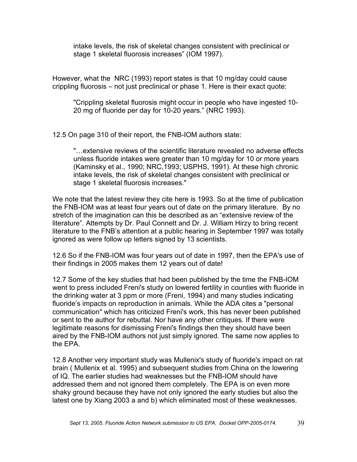intake levels, the risk of skeletal changes consistent with preclinical or stage 1 skeletal fluorosis increases" (IOM 1997).

However, what the NRC (1993) report states is that 10 mg/day could cause crippling fluorosis – not just preclinical or phase 1. Here is their exact quote:

"Crippling skeletal fluorosis might occur in people who have ingested 10- 20 mg of fluoride per day for 10-20 years." (NRC 1993).

12.5 On page 310 of their report, the FNB-IOM authors state:

"…extensive reviews of the scientific literature revealed no adverse effects unless fluoride intakes were greater than 10 mg/day for 10 or more years (Kaminsky et al., 1990; NRC,1993; USPHS, 1991). At these high chronic intake levels, the risk of skeletal changes consistent with preclinical or stage 1 skeletal fluorosis increases."

We note that the latest review they cite here is 1993. So at the time of publication the FNB-IOM was at least four years out of date on the primary literature. By no stretch of the imagination can this be described as an "extensive review of the literature". Attempts by Dr. Paul Connett and Dr. J. William Hirzy to bring recent literature to the FNB's attention at a public hearing in September 1997 was totally ignored as were follow up letters signed by 13 scientists.

12.6 So if the FNB-IOM was four years out of date in 1997, then the EPA's use of their findings in 2005 makes them 12 years out of date!

12.7 Some of the key studies that had been published by the time the FNB-IOM went to press included Freni's study on lowered fertility in counties with fluoride in the drinking water at 3 ppm or more (Freni, 1994) and many studies indicating fluoride's impacts on reproduction in animals. While the ADA cites a "personal communication" which has criticized Freni's work, this has never been published or sent to the author for rebuttal. Nor have any other critiques. If there were legitimate reasons for dismissing Freni's findings then they should have been aired by the FNB-IOM authors not just simply ignored. The same now applies to the EPA.

12.8 Another very important study was Mullenix's study of fluoride's impact on rat brain ( Mullenix et al. 1995) and subsequent studies from China on the lowering of IQ. The earlier studies had weaknesses but the FNB-IOM should have addressed them and not ignored them completely. The EPA is on even more shaky ground because they have not only ignored the early studies but also the latest one by Xiang 2003 a and b) which eliminated most of these weaknesses.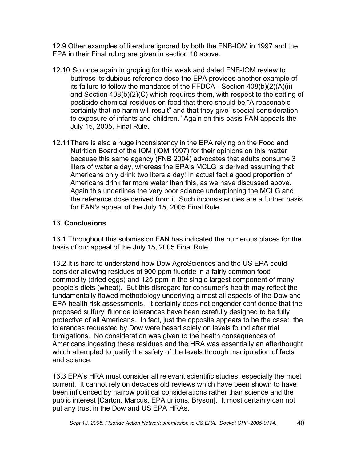12.9 Other examples of literature ignored by both the FNB-IOM in 1997 and the EPA in their Final ruling are given in section 10 above.

- 12.10 So once again in groping for this weak and dated FNB-IOM review to buttress its dubious reference dose the EPA provides another example of its failure to follow the mandates of the FFDCA - Section 408(b)(2)(A)(ii) and Section 408(b)(2)(C) which requires them, with respect to the setting of pesticide chemical residues on food that there should be "A reasonable certainty that no harm will result" and that they give "special consideration to exposure of infants and children." Again on this basis FAN appeals the July 15, 2005, Final Rule.
- 12.11There is also a huge inconsistency in the EPA relying on the Food and Nutrition Board of the IOM (IOM 1997) for their opinions on this matter because this same agency (FNB 2004) advocates that adults consume 3 liters of water a day, whereas the EPA's MCLG is derived assuming that Americans only drink two liters a day! In actual fact a good proportion of Americans drink far more water than this, as we have discussed above. Again this underlines the very poor science underpinning the MCLG and the reference dose derived from it. Such inconsistencies are a further basis for FAN's appeal of the July 15, 2005 Final Rule.

# 13. **Conclusions**

13.1 Throughout this submission FAN has indicated the numerous places for the basis of our appeal of the July 15, 2005 Final Rule.

13.2 It is hard to understand how Dow AgroSciences and the US EPA could consider allowing residues of 900 ppm fluoride in a fairly common food commodity (dried eggs) and 125 ppm in the single largest component of many people's diets (wheat). But this disregard for consumer's health may reflect the fundamentally flawed methodology underlying almost all aspects of the Dow and EPA health risk assessments. It certainly does not engender confidence that the proposed sulfuryl fluoride tolerances have been carefully designed to be fully protective of all Americans. In fact, just the opposite appears to be the case: the tolerances requested by Dow were based solely on levels found after trial fumigations. No consideration was given to the health consequences of Americans ingesting these residues and the HRA was essentially an afterthought which attempted to justify the safety of the levels through manipulation of facts and science.

13.3 EPA's HRA must consider all relevant scientific studies, especially the most current. It cannot rely on decades old reviews which have been shown to have been influenced by narrow political considerations rather than science and the public interest [Carton, Marcus, EPA unions, Bryson]. It most certainly can not put any trust in the Dow and US EPA HRAs.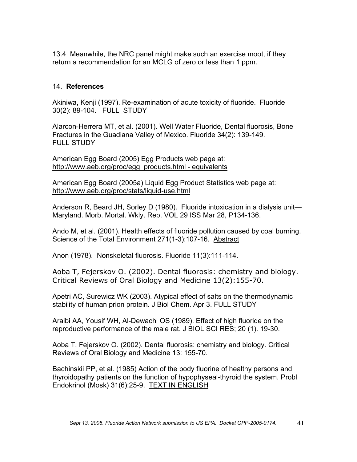13.4 Meanwhile, the NRC panel might make such an exercise moot, if they return a recommendation for an MCLG of zero or less than 1 ppm.

#### 14. **References**

Akiniwa, Kenji (1997). Re-examination of acute toxicity of fluoride. Fluoride 30(2): 89-104. FULL STUDY

Alarcon-Herrera MT, et al. (2001). Well Water Fluoride, Dental fluorosis, Bone Fractures in the Guadiana Valley of Mexico. Fluoride 34(2): 139-149. FULL STUDY

American Egg Board (2005) Egg Products web page at: http://www.aeb.org/proc/egg\_products.html - equivalents

American Egg Board (2005a) Liquid Egg Product Statistics web page at: http://www.aeb.org/proc/stats/liquid-use.html

Anderson R, Beard JH, Sorley D (1980). Fluoride intoxication in a dialysis unit— Maryland. Morb. Mortal. Wkly. Rep. VOL 29 ISS Mar 28, P134-136.

Ando M, et al. (2001). Health effects of fluoride pollution caused by coal burning. Science of the Total Environment 271(1-3):107-16. Abstract

Anon (1978). Nonskeletal fluorosis. Fluoride 11(3):111-114.

Aoba T, Fejerskov O. (2002). Dental fluorosis: chemistry and biology. Critical Reviews of Oral Biology and Medicine 13(2):155-70.

Apetri AC, Surewicz WK (2003). Atypical effect of salts on the thermodynamic stability of human prion protein. J Biol Chem. Apr 3. FULL STUDY

Araibi AA, Yousif WH, Al-Dewachi OS (1989). Effect of high fluoride on the reproductive performance of the male rat. J BIOL SCI RES; 20 (1). 19-30.

Aoba T, Fejerskov O. (2002). Dental fluorosis: chemistry and biology. Critical Reviews of Oral Biology and Medicine 13: 155-70.

Bachinskii PP, et al. (1985) Action of the body fluorine of healthy persons and thyroidopathy patients on the function of hypophyseal-thyroid the system. Probl Endokrinol (Mosk) 31(6):25-9. TEXT IN ENGLISH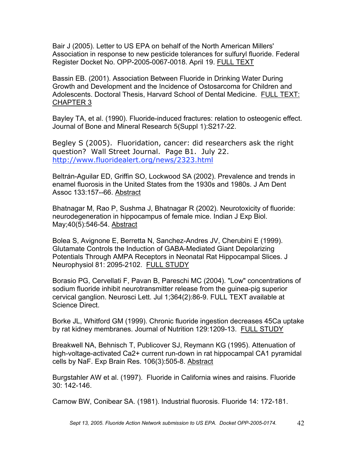Bair J (2005). Letter to US EPA on behalf of the North American Millers' Association in response to new pesticide tolerances for sulfuryl fluoride. Federal Register Docket No. OPP-2005-0067-0018. April 19. FULL TEXT

Bassin EB. (2001). Association Between Fluoride in Drinking Water During Growth and Development and the Incidence of Ostosarcoma for Children and Adolescents. Doctoral Thesis, Harvard School of Dental Medicine. FULL TEXT: CHAPTER 3

Bayley TA, et al. (1990). Fluoride-induced fractures: relation to osteogenic effect. Journal of Bone and Mineral Research 5(Suppl 1):S217-22.

Begley S (2005). Fluoridation, cancer: did researchers ask the right question? Wall Street Journal. Page B1. July 22. http://www.fluoridealert.org/news/2323.html

Beltrán-Aguilar ED, Griffin SO, Lockwood SA (2002). Prevalence and trends in enamel fluorosis in the United States from the 1930s and 1980s. J Am Dent Assoc 133:157--66. Abstract

Bhatnagar M, Rao P, Sushma J, Bhatnagar R (2002). Neurotoxicity of fluoride: neurodegeneration in hippocampus of female mice. Indian J Exp Biol. May;40(5):546-54. Abstract

Bolea S, Avignone E, Berretta N, Sanchez-Andres JV, Cherubini E (1999). Glutamate Controls the Induction of GABA-Mediated Giant Depolarizing Potentials Through AMPA Receptors in Neonatal Rat Hippocampal Slices. J Neurophysiol 81: 2095-2102. FULL STUDY

Borasio PG, Cervellati F, Pavan B, Pareschi MC (2004). "Low" concentrations of sodium fluoride inhibit neurotransmitter release from the guinea-pig superior cervical ganglion. Neurosci Lett. Jul 1;364(2):86-9. FULL TEXT available at Science Direct.

Borke JL, Whitford GM (1999). Chronic fluoride ingestion decreases 45Ca uptake by rat kidney membranes. Journal of Nutrition 129:1209-13. FULL STUDY

Breakwell NA, Behnisch T, Publicover SJ, Reymann KG (1995). Attenuation of high-voltage-activated Ca2+ current run-down in rat hippocampal CA1 pyramidal cells by NaF. Exp Brain Res. 106(3):505-8. Abstract

Burgstahler AW et al. (1997). Fluoride in California wines and raisins. Fluoride 30: 142-146.

Carnow BW, Conibear SA. (1981). Industrial fluorosis. Fluoride 14: 172-181.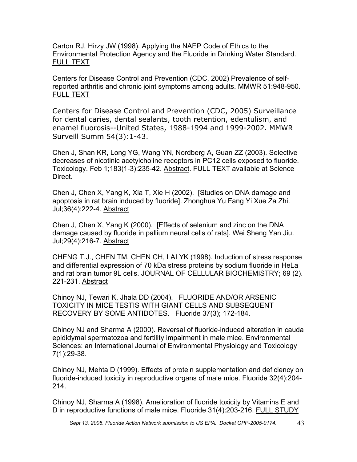Carton RJ, Hirzy JW (1998). Applying the NAEP Code of Ethics to the Environmental Protection Agency and the Fluoride in Drinking Water Standard. FULL TEXT

Centers for Disease Control and Prevention (CDC, 2002) Prevalence of selfreported arthritis and chronic joint symptoms among adults. MMWR 51:948-950. FULL TEXT

Centers for Disease Control and Prevention (CDC, 2005) Surveillance for dental caries, dental sealants, tooth retention, edentulism, and enamel fluorosis--United States, 1988-1994 and 1999-2002. MMWR Surveill Summ 54(3):1-43.

Chen J, Shan KR, Long YG, Wang YN, Nordberg A, Guan ZZ (2003). Selective decreases of nicotinic acetylcholine receptors in PC12 cells exposed to fluoride. Toxicology. Feb 1;183(1-3):235-42. Abstract. FULL TEXT available at Science Direct.

Chen J, Chen X, Yang K, Xia T, Xie H (2002). [Studies on DNA damage and apoptosis in rat brain induced by fluoride]. Zhonghua Yu Fang Yi Xue Za Zhi. Jul;36(4):222-4. Abstract

Chen J, Chen X, Yang K (2000). [Effects of selenium and zinc on the DNA damage caused by fluoride in pallium neural cells of rats]. Wei Sheng Yan Jiu. Jul;29(4):216-7. Abstract

CHENG T.J., CHEN TM, CHEN CH, LAI YK (1998). Induction of stress response and differential expression of 70 kDa stress proteins by sodium fluoride in HeLa and rat brain tumor 9L cells. JOURNAL OF CELLULAR BIOCHEMISTRY; 69 (2). 221-231. Abstract

Chinoy NJ, Tewari K, Jhala DD (2004). FLUORIDE AND/OR ARSENIC TOXICITY IN MICE TESTIS WITH GIANT CELLS AND SUBSEQUENT RECOVERY BY SOME ANTIDOTES. Fluoride 37(3); 172-184.

Chinoy NJ and Sharma A (2000). Reversal of fluoride-induced alteration in cauda epididymal spermatozoa and fertility impairment in male mice. Environmental Sciences: an International Journal of Environmental Physiology and Toxicology 7(1):29-38.

Chinoy NJ, Mehta D (1999). Effects of protein supplementation and deficiency on fluoride-induced toxicity in reproductive organs of male mice. Fluoride 32(4):204- 214.

Chinoy NJ, Sharma A (1998). Amelioration of fluoride toxicity by Vitamins E and D in reproductive functions of male mice. Fluoride 31(4):203-216. FULL STUDY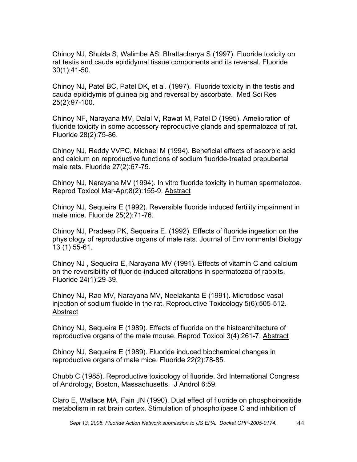Chinoy NJ, Shukla S, Walimbe AS, Bhattacharya S (1997). Fluoride toxicity on rat testis and cauda epididymal tissue components and its reversal. Fluoride 30(1):41-50.

Chinoy NJ, Patel BC, Patel DK, et al. (1997). Fluoride toxicity in the testis and cauda epididymis of guinea pig and reversal by ascorbate. Med Sci Res 25(2):97-100.

Chinoy NF, Narayana MV, Dalal V, Rawat M, Patel D (1995). Amelioration of fluoride toxicity in some accessory reproductive glands and spermatozoa of rat. Fluoride 28(2):75-86.

Chinoy NJ, Reddy VVPC, Michael M (1994). Beneficial effects of ascorbic acid and calcium on reproductive functions of sodium fluoride-treated prepubertal male rats. Fluoride 27(2):67-75.

Chinoy NJ, Narayana MV (1994). In vitro fluoride toxicity in human spermatozoa. Reprod Toxicol Mar-Apr;8(2):155-9. Abstract

Chinoy NJ, Sequeira E (1992). Reversible fluoride induced fertility impairment in male mice. Fluoride 25(2):71-76.

Chinoy NJ, Pradeep PK, Sequeira E. (1992). Effects of fluoride ingestion on the physiology of reproductive organs of male rats. Journal of Environmental Biology 13 (1) 55-61.

Chinoy NJ , Sequeira E, Narayana MV (1991). Effects of vitamin C and calcium on the reversibility of fluoride-induced alterations in spermatozoa of rabbits. Fluoride 24(1):29-39.

Chinoy NJ, Rao MV, Narayana MV, Neelakanta E (1991). Microdose vasal injection of sodium fluoide in the rat. Reproductive Toxicology 5(6):505-512. **Abstract** 

Chinoy NJ, Sequeira E (1989). Effects of fluoride on the histoarchitecture of reproductive organs of the male mouse. Reprod Toxicol 3(4):261-7. Abstract

Chinoy NJ, Sequeira E (1989). Fluoride induced biochemical changes in reproductive organs of male mice. Fluoride 22(2):78-85.

Chubb C (1985). Reproductive toxicology of fluoride. 3rd International Congress of Andrology, Boston, Massachusetts. J Androl 6:59.

Claro E, Wallace MA, Fain JN (1990). Dual effect of fluoride on phosphoinositide metabolism in rat brain cortex. Stimulation of phospholipase C and inhibition of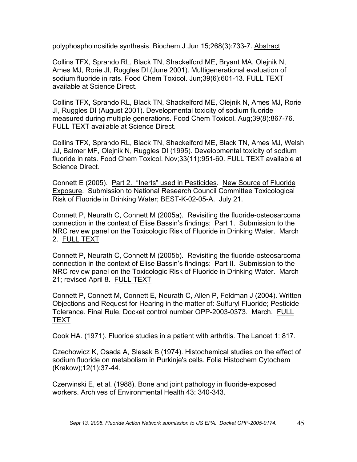polyphosphoinositide synthesis. Biochem J Jun 15;268(3):733-7. Abstract

Collins TFX, Sprando RL, Black TN, Shackelford ME, Bryant MA, Olejnik N, Ames MJ, Rorie JI, Ruggles DI.(June 2001). Multigenerational evaluation of sodium fluoride in rats. Food Chem Toxicol. Jun;39(6):601-13. FULL TEXT available at Science Direct.

Collins TFX, Sprando RL, Black TN, Shackelford ME, Olejnik N, Ames MJ, Rorie JI, Ruggles DI (August 2001). Developmental toxicity of sodium fluoride measured during multiple generations. Food Chem Toxicol. Aug;39(8):867-76. FULL TEXT available at Science Direct.

Collins TFX, Sprando RL, Black TN, Shackelford ME, Black TN, Ames MJ, Welsh JJ, Balmer MF, Olejnik N, Ruggles DI (1995). Developmental toxicity of sodium fluoride in rats. Food Chem Toxicol. Nov;33(11):951-60. FULL TEXT available at Science Direct.

Connett E (2005). Part 2. "Inerts" used in Pesticides. New Source of Fluoride Exposure. Submission to National Research Council Committee Toxicological Risk of Fluoride in Drinking Water; BEST-K-02-05-A. July 21.

Connett P, Neurath C, Connett M (2005a). Revisiting the fluoride-osteosarcoma connection in the context of Elise Bassin's findings: Part 1. Submission to the NRC review panel on the Toxicologic Risk of Fluoride in Drinking Water. March 2. FULL TEXT

Connett P, Neurath C, Connett M (2005b). Revisiting the fluoride-osteosarcoma connection in the context of Elise Bassin's findings: Part II. Submission to the NRC review panel on the Toxicologic Risk of Fluoride in Drinking Water. March 21; revised April 8. FULL TEXT

Connett P, Connett M, Connett E, Neurath C, Allen P, Feldman J (2004). Written Objections and Request for Hearing in the matter of: Sulfuryl Fluoride; Pesticide Tolerance. Final Rule. Docket control number OPP-2003-0373. March. FULL TEXT

Cook HA. (1971). Fluoride studies in a patient with arthritis. The Lancet 1: 817.

Czechowicz K, Osada A, Slesak B (1974). Histochemical studies on the effect of sodium fluoride on metabolism in Purkinje's cells. Folia Histochem Cytochem (Krakow);12(1):37-44.

Czerwinski E, et al. (1988). Bone and joint pathology in fluoride-exposed workers. Archives of Environmental Health 43: 340-343.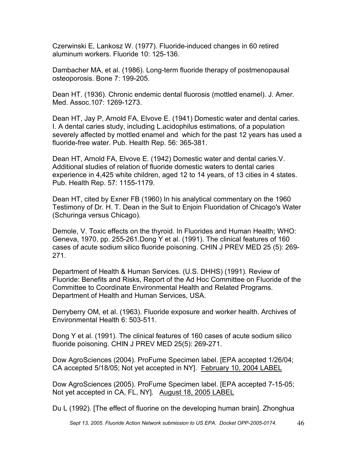Czerwinski E, Lankosz W. (1977). Fluoride-induced changes in 60 retired aluminum workers. Fluoride 10: 125-136.

Dambacher MA, et al. (1986). Long-term fluoride therapy of postmenopausal osteoporosis. Bone 7: 199-205.

Dean HT. (1936). Chronic endemic dental fluorosis (mottled enamel). J. Amer. Med. Assoc.107: 1269-1273.

Dean HT, Jay P, Arnold FA, Elvove E. (1941) Domestic water and dental caries. I. A dental caries study, including L.acidophilus estimations, of a population severely affected by mottled enamel and which for the past 12 years has used a fluoride-free water. Pub. Health Rep. 56: 365-381.

Dean HT, Arnold FA, Elvove E. (1942) Domestic water and dental caries.V. Additional studies of relation of fluoride domestic waters to dental caries experience in 4,425 white children, aged 12 to 14 years, of 13 cities in 4 states. Pub. Health Rep. 57: 1155-1179.

Dean HT, cited by Exner FB (1960) In his analytical commentary on the 1960 Testimony of Dr. H. T. Dean in the Suit to Enjoin Fluoridation of Chicago's Water (Schuringa versus Chicago).

Demole, V. Toxic effects on the thyroid. In Fluorides and Human Health; WHO: Geneva, 1970, pp. 255-261.Dong Y et al. (1991). The clinical features of 160 cases of acute sodium silico fluoride poisoning. CHIN J PREV MED 25 (5): 269- 271.

Department of Health & Human Services. (U.S. DHHS) (1991). Review of Fluoride: Benefits and Risks, Report of the Ad Hoc Committee on Fluoride of the Committee to Coordinate Environmental Health and Related Programs. Department of Health and Human Services, USA.

Derryberry OM, et al. (1963). Fluoride exposure and worker health. Archives of Environmental Health 6: 503-511.

Dong Y et al. (1991). The clinical features of 160 cases of acute sodium silico fluoride poisoning. CHIN J PREV MED 25(5): 269-271.

Dow AgroSciences (2004). ProFume Specimen label. [EPA accepted 1/26/04; CA accepted 5/18/05; Not yet accepted in NY]. February 10, 2004 LABEL

Dow AgroSciences (2005). ProFume Specimen label. [EPA accepted 7-15-05; Not yet accepted in CA, FL, NY]. August 18, 2005 LABEL

Du L (1992). [The effect of fluorine on the developing human brain]. Zhonghua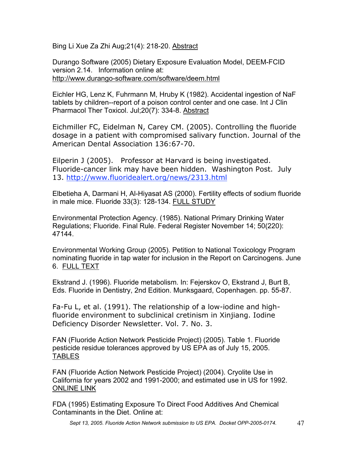Bing Li Xue Za Zhi Aug;21(4): 218-20. Abstract

Durango Software (2005) Dietary Exposure Evaluation Model, DEEM-FCID version 2.14. Information online at: http://www.durango-software.com/software/deem.html

Eichler HG, Lenz K, Fuhrmann M, Hruby K (1982). Accidental ingestion of NaF tablets by children--report of a poison control center and one case. Int J Clin Pharmacol Ther Toxicol. Jul;20(7): 334-8. Abstract

Eichmiller FC, Eidelman N, Carey CM. (2005). Controlling the fluoride dosage in a patient with compromised salivary function. Journal of the American Dental Association 136:67-70.

Eilperin J (2005). Professor at Harvard is being investigated. Fluoride-cancer link may have been hidden. Washington Post. July 13. http://www.fluoridealert.org/news/2313.html

Elbetieha A, Darmani H, Al-Hiyasat AS (2000). Fertility effects of sodium fluoride in male mice. Fluoride 33(3): 128-134. FULL STUDY

Environmental Protection Agency. (1985). National Primary Drinking Water Regulations; Fluoride. Final Rule. Federal Register November 14; 50(220): 47144.

Environmental Working Group (2005). Petition to National Toxicology Program nominating fluoride in tap water for inclusion in the Report on Carcinogens. June 6. FULL TEXT

Ekstrand J. (1996). Fluoride metabolism. In: Fejerskov O, Ekstrand J, Burt B, Eds. Fluoride in Dentistry, 2nd Edition. Munksgaard, Copenhagen. pp. 55-87.

Fa-Fu L, et al. (1991). The relationship of a low-iodine and highfluoride environment to subclinical cretinism in Xinjiang. Iodine Deficiency Disorder Newsletter. Vol. 7. No. 3.

FAN (Fluoride Action Network Pesticide Project) (2005). Table 1. Fluoride pesticide residue tolerances approved by US EPA as of July 15, 2005. TABLES

FAN (Fluoride Action Network Pesticide Project) (2004). Cryolite Use in California for years 2002 and 1991-2000; and estimated use in US for 1992. ONLINE LINK

FDA (1995) Estimating Exposure To Direct Food Additives And Chemical Contaminants in the Diet. Online at:

*Sept 13, 2005. Fluoride Action Network submission to US EPA. Docket OPP-2005-0174.* 47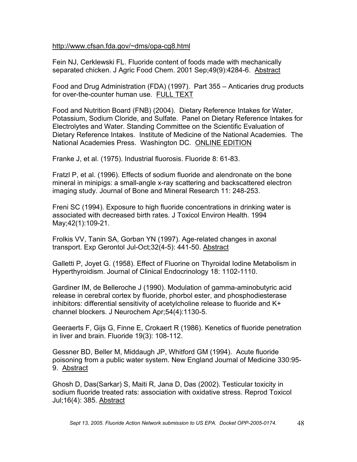#### http://www.cfsan.fda.gov/~dms/opa-cg8.html

Fein NJ, Cerklewski FL. Fluoride content of foods made with mechanically separated chicken. J Agric Food Chem. 2001 Sep;49(9):4284-6. Abstract

Food and Drug Administration (FDA) (1997). Part 355 – Anticaries drug products for over-the-counter human use. FULL TEXT

Food and Nutrition Board (FNB) (2004). Dietary Reference Intakes for Water, Potassium, Sodium Cloride, and Sulfate. Panel on Dietary Reference Intakes for Electrolytes and Water. Standing Committee on the Scientific Evaluation of Dietary Reference Intakes. Institute of Medicine of the National Academies. The National Academies Press. Washington DC. ONLINE EDITION

Franke J, et al. (1975). Industrial fluorosis. Fluoride 8: 61-83.

Fratzl P, et al. (1996). Effects of sodium fluoride and alendronate on the bone mineral in minipigs: a small-angle x-ray scattering and backscattered electron imaging study. Journal of Bone and Mineral Research 11: 248-253.

Freni SC (1994). Exposure to high fluoride concentrations in drinking water is associated with decreased birth rates. J Toxicol Environ Health. 1994 May;42(1):109-21.

Frolkis VV, Tanin SA, Gorban YN (1997). Age-related changes in axonal transport. Exp Gerontol Jul-Oct;32(4-5): 441-50. Abstract

Galletti P, Joyet G. (1958). Effect of Fluorine on Thyroidal Iodine Metabolism in Hyperthyroidism. Journal of Clinical Endocrinology 18: 1102-1110.

Gardiner IM, de Belleroche J (1990). Modulation of gamma-aminobutyric acid release in cerebral cortex by fluoride, phorbol ester, and phosphodiesterase inhibitors: differential sensitivity of acetylcholine release to fluoride and K+ channel blockers. J Neurochem Apr;54(4):1130-5.

Geeraerts F, Gijs G, Finne E, Crokaert R (1986). Kenetics of fluoride penetration in liver and brain. Fluoride 19(3): 108-112.

Gessner BD, Beller M, Middaugh JP, Whitford GM (1994). Acute fluoride poisoning from a public water system. New England Journal of Medicine 330:95- 9. Abstract

Ghosh D, Das(Sarkar) S, Maiti R, Jana D, Das (2002). Testicular toxicity in sodium fluoride treated rats: association with oxidative stress. Reprod Toxicol Jul;16(4): 385. Abstract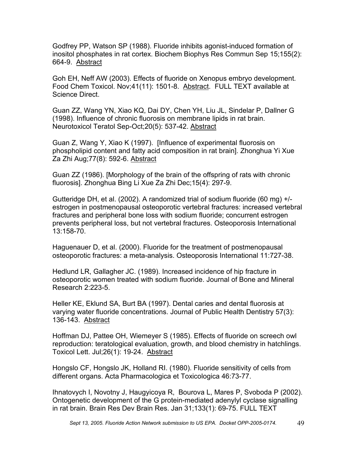Godfrey PP, Watson SP (1988). Fluoride inhibits agonist-induced formation of inositol phosphates in rat cortex. Biochem Biophys Res Commun Sep 15;155(2): 664-9. Abstract

Goh EH, Neff AW (2003). Effects of fluoride on Xenopus embryo development. Food Chem Toxicol. Nov;41(11): 1501-8. Abstract. FULL TEXT available at Science Direct.

Guan ZZ, Wang YN, Xiao KQ, Dai DY, Chen YH, Liu JL, Sindelar P, Dallner G (1998). Influence of chronic fluorosis on membrane lipids in rat brain. Neurotoxicol Teratol Sep-Oct;20(5): 537-42. Abstract

Guan Z, Wang Y, Xiao K (1997). [Influence of experimental fluorosis on phospholipid content and fatty acid composition in rat brain]. Zhonghua Yi Xue Za Zhi Aug;77(8): 592-6. Abstract

Guan ZZ (1986). [Morphology of the brain of the offspring of rats with chronic fluorosis]. Zhonghua Bing Li Xue Za Zhi Dec;15(4): 297-9.

Gutteridge DH, et al. (2002). A randomized trial of sodium fluoride (60 mg) +/ estrogen in postmenopausal osteoporotic vertebral fractures: increased vertebral fractures and peripheral bone loss with sodium fluoride; concurrent estrogen prevents peripheral loss, but not vertebral fractures. Osteoporosis International 13:158-70.

Haguenauer D, et al. (2000). Fluoride for the treatment of postmenopausal osteoporotic fractures: a meta-analysis. Osteoporosis International 11:727-38.

Hedlund LR, Gallagher JC. (1989). Increased incidence of hip fracture in osteoporotic women treated with sodium fluoride. Journal of Bone and Mineral Research 2:223-5.

Heller KE, Eklund SA, Burt BA (1997). Dental caries and dental fluorosis at varying water fluoride concentrations. Journal of Public Health Dentistry 57(3): 136-143. Abstract

Hoffman DJ, Pattee OH, Wiemeyer S (1985). Effects of fluoride on screech owl reproduction: teratological evaluation, growth, and blood chemistry in hatchlings. Toxicol Lett. Jul;26(1): 19-24. Abstract

Hongslo CF, Hongslo JK, Holland RI. (1980). Fluoride sensitivity of cells from different organs. Acta Pharmacologica et Toxicologica 46:73-77.

Ihnatovych I, Novotny J, Haugyicoya R, Bourova L, Mares P, Svoboda P (2002). Ontogenetic development of the G protein-mediated adenylyl cyclase signalling in rat brain. Brain Res Dev Brain Res. Jan 31;133(1): 69-75. FULL TEXT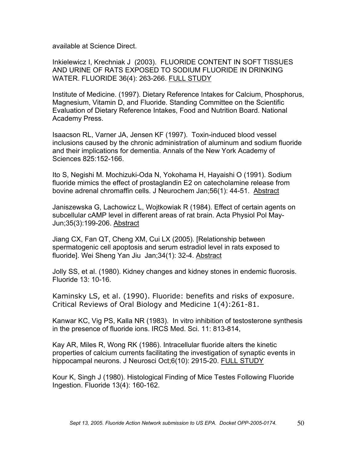available at Science Direct.

Inkielewicz I, Krechniak J (2003). FLUORIDE CONTENT IN SOFT TISSUES AND URINE OF RATS EXPOSED TO SODIUM FLUORIDE IN DRINKING WATER. FLUORIDE 36(4): 263-266. FULL STUDY

Institute of Medicine. (1997). Dietary Reference Intakes for Calcium, Phosphorus, Magnesium, Vitamin D, and Fluoride. Standing Committee on the Scientific Evaluation of Dietary Reference Intakes, Food and Nutrition Board. National Academy Press.

Isaacson RL, Varner JA, Jensen KF (1997). Toxin-induced blood vessel inclusions caused by the chronic administration of aluminum and sodium fluoride and their implications for dementia. Annals of the New York Academy of Sciences 825:152-166.

Ito S, Negishi M. Mochizuki-Oda N, Yokohama H, Hayaishi O (1991). Sodium fluoride mimics the effect of prostaglandin E2 on catecholamine release from bovine adrenal chromaffin cells. J Neurochem Jan;56(1): 44-51. Abstract

Janiszewska G, Lachowicz L, Wojtkowiak R (1984). Effect of certain agents on subcellular cAMP level in different areas of rat brain. Acta Physiol Pol May-Jun;35(3):199-206. Abstract

Jiang CX, Fan QT, Cheng XM, Cui LX (2005). [Relationship between spermatogenic cell apoptosis and serum estradiol level in rats exposed to fluoride]. Wei Sheng Yan Jiu Jan;34(1): 32-4. Abstract

Jolly SS, et al. (1980). Kidney changes and kidney stones in endemic fluorosis. Fluoride 13: 10-16.

Kaminsky LS, et al. (1990). Fluoride: benefits and risks of exposure. Critical Reviews of Oral Biology and Medicine 1(4):261-81.

Kanwar KC, Vig PS, Kalla NR (1983). In vitro inhibition of testosterone synthesis in the presence of fluoride ions. IRCS Med. Sci. 11: 813-814,

Kay AR, Miles R, Wong RK (1986). Intracellular fluoride alters the kinetic properties of calcium currents facilitating the investigation of synaptic events in hippocampal neurons. J Neurosci Oct;6(10): 2915-20. FULL STUDY

Kour K, Singh J (1980). Histological Finding of Mice Testes Following Fluoride Ingestion. Fluoride 13(4): 160-162.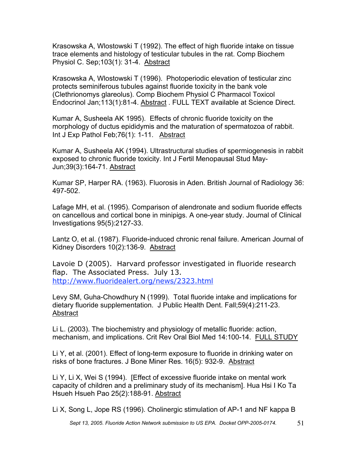Krasowska A, Wlostowski T (1992). The effect of high fluoride intake on tissue trace elements and histology of testicular tubules in the rat. Comp Biochem Physiol C. Sep;103(1): 31-4. Abstract

Krasowska A, Wlostowski T (1996). Photoperiodic elevation of testicular zinc protects seminiferous tubules against fluoride toxicity in the bank vole (Clethrionomys glareolus). Comp Biochem Physiol C Pharmacol Toxicol Endocrinol Jan;113(1):81-4. Abstract . FULL TEXT available at Science Direct.

Kumar A, Susheela AK 1995). Effects of chronic fluoride toxicity on the morphology of ductus epididymis and the maturation of spermatozoa of rabbit. Int J Exp Pathol Feb;76(1): 1-11. Abstract

Kumar A, Susheela AK (1994). Ultrastructural studies of spermiogenesis in rabbit exposed to chronic fluoride toxicity. Int J Fertil Menopausal Stud May-Jun;39(3):164-71. Abstract

Kumar SP, Harper RA. (1963). Fluorosis in Aden. British Journal of Radiology 36: 497-502.

Lafage MH, et al. (1995). Comparison of alendronate and sodium fluoride effects on cancellous and cortical bone in minipigs. A one-year study. Journal of Clinical Investigations 95(5):2127-33.

Lantz O, et al. (1987). Fluoride-induced chronic renal failure. American Journal of Kidney Disorders 10(2):136-9. Abstract

Lavoie D (2005). Harvard professor investigated in fluoride research flap. The Associated Press. July 13. http://www.fluoridealert.org/news/2323.html

Levy SM, Guha-Chowdhury N (1999). Total fluoride intake and implications for dietary fluoride supplementation. J Public Health Dent. Fall;59(4):211-23. Abstract

Li L. (2003). The biochemistry and physiology of metallic fluoride: action, mechanism, and implications. Crit Rev Oral Biol Med 14:100-14. FULL STUDY

Li Y, et al. (2001). Effect of long-term exposure to fluoride in drinking water on risks of bone fractures. J Bone Miner Res. 16(5): 932-9. Abstract

Li Y, Li X, Wei S (1994). [Effect of excessive fluoride intake on mental work capacity of children and a preliminary study of its mechanism]. Hua Hsi I Ko Ta Hsueh Hsueh Pao 25(2):188-91. Abstract

Li X, Song L, Jope RS (1996). Cholinergic stimulation of AP-1 and NF kappa B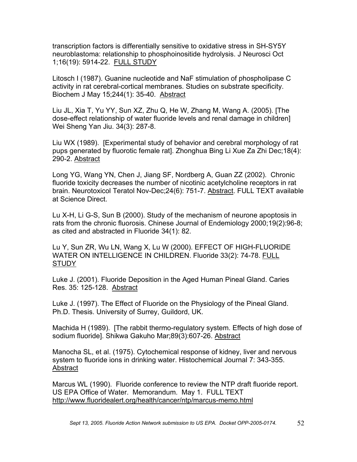transcription factors is differentially sensitive to oxidative stress in SH-SY5Y neuroblastoma: relationship to phosphoinositide hydrolysis. J Neurosci Oct 1;16(19): 5914-22. FULL STUDY

Litosch I (1987). Guanine nucleotide and NaF stimulation of phospholipase C activity in rat cerebral-cortical membranes. Studies on substrate specificity. Biochem J May 15;244(1): 35-40. Abstract

Liu JL, Xia T, Yu YY, Sun XZ, Zhu Q, He W, Zhang M, Wang A. (2005). [The dose-effect relationship of water fluoride levels and renal damage in children] Wei Sheng Yan Jiu. 34(3): 287-8.

Liu WX (1989). [Experimental study of behavior and cerebral morphology of rat pups generated by fluorotic female rat]. Zhonghua Bing Li Xue Za Zhi Dec;18(4): 290-2. Abstract

Long YG, Wang YN, Chen J, Jiang SF, Nordberg A, Guan ZZ (2002). Chronic fluoride toxicity decreases the number of nicotinic acetylcholine receptors in rat brain. Neurotoxicol Teratol Nov-Dec;24(6): 751-7. Abstract. FULL TEXT available at Science Direct.

Lu X-H, Li G-S, Sun B (2000). Study of the mechanism of neurone apoptosis in rats from the chronic fluorosis. Chinese Journal of Endemiology 2000;19(2):96-8; as cited and abstracted in Fluoride 34(1): 82.

Lu Y, Sun ZR, Wu LN, Wang X, Lu W (2000). EFFECT OF HIGH-FLUORIDE WATER ON INTELLIGENCE IN CHILDREN. Fluoride 33(2): 74-78. FULL **STUDY** 

Luke J. (2001). Fluoride Deposition in the Aged Human Pineal Gland. Caries Res. 35: 125-128. Abstract

Luke J. (1997). The Effect of Fluoride on the Physiology of the Pineal Gland. Ph.D. Thesis. University of Surrey, Guildord, UK.

Machida H (1989). [The rabbit thermo-regulatory system. Effects of high dose of sodium fluoride]. Shikwa Gakuho Mar;89(3):607-26. Abstract

Manocha SL, et al. (1975). Cytochemical response of kidney, liver and nervous system to fluoride ions in drinking water. Histochemical Journal 7: 343-355. Abstract

Marcus WL (1990). Fluoride conference to review the NTP draft fluoride report. US EPA Office of Water. Memorandum. May 1. FULL TEXT http://www.fluoridealert.org/health/cancer/ntp/marcus-memo.html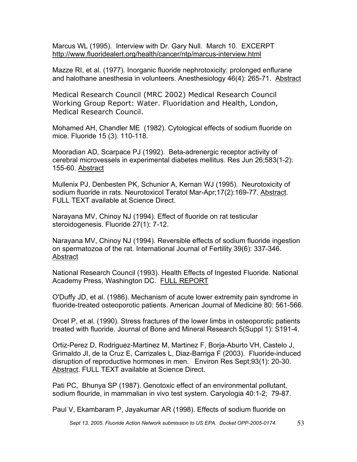Marcus WL (1995). Interview with Dr. Gary Null. March 10. EXCERPT http://www.fluoridealert.org/health/cancer/ntp/marcus-interview.html

Mazze RI, et al. (1977). Inorganic fluoride nephrotoxicity: prolonged enflurane and halothane anesthesia in volunteers. Anesthesiology 46(4): 265-71. Abstract

Medical Research Council (MRC 2002) Medical Research Council Working Group Report: Water. Fluoridation and Health, London, Medical Research Council.

Mohamed AH, Chandler ME (1982). Cytological effects of sodium fluoride on mice. Fluoride 15 (3). 110-118.

Mooradian AD, Scarpace PJ (1992). Beta-adrenergic receptor activity of cerebral microvessels in experimental diabetes mellitus. Res Jun 26;583(1-2): 155-60. Abstract

Mullenix PJ, Denbesten PK, Schunior A, Kernan WJ (1995). Neurotoxicity of sodium fluoride in rats. Neurotoxicol Teratol Mar-Apr;17(2):169-77. Abstract. FULL TEXT available at Science Direct.

Narayana MV, Chinoy NJ (1994). Effect of fluoride on rat testicular steroidogenesis. Fluoride 27(1): 7-12.

Narayana MV, Chinoy NJ (1994). Reversible effects of sodium fluoride ingestion on spermatozoa of the rat. International Journal of Fertility 39(6): 337-346. Abstract

National Research Council (1993). Health Effects of Ingested Fluoride. National Academy Press, Washington DC. FULL REPORT

O'Duffy JD, et al. (1986). Mechanism of acute lower extremity pain syndrome in fluoride-treated osteoporotic patients. American Journal of Medicine 80: 561-566.

Orcel P, et al. (1990). Stress fractures of the lower limbs in osteoporotic patients treated with fluoride. Journal of Bone and Mineral Research 5(Suppl 1): S191-4.

Ortiz-Perez D, Rodriguez-Martinez M, Martinez F, Borja-Aburto VH, Castelo J, Grimaldo JI, de la Cruz E, Carrizales L, Diaz-Barriga F (2003). Fluoride-induced disruption of reproductive hormones in men. Environ Res Sept;93(1): 20-30. Abstract. FULL TEXT available at Science Direct.

Pati PC, Bhunya SP (1987). Genotoxic effect of an environmental pollutant, sodium flouride, in mammalian in vivo test system. Caryologia 40:1-2; 79-87.

Paul V, Ekambaram P, Jayakumar AR (1998). Effects of sodium fluoride on

*Sept 13, 2005. Fluoride Action Network submission to US EPA. Docket OPP-2005-0174.* 53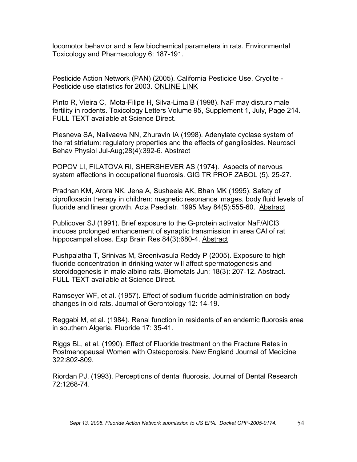locomotor behavior and a few biochemical parameters in rats. Environmental Toxicology and Pharmacology 6: 187-191.

Pesticide Action Network (PAN) (2005). California Pesticide Use. Cryolite - Pesticide use statistics for 2003. ONLINE LINK

Pinto R, Vieira C, Mota-Filipe H, Silva-Lima B (1998). NaF may disturb male fertility in rodents. Toxicology Letters Volume 95, Supplement 1, July, Page 214. FULL TEXT available at Science Direct.

Plesneva SA, Nalivaeva NN, Zhuravin IA (1998). Adenylate cyclase system of the rat striatum: regulatory properties and the effects of gangliosides. Neurosci Behav Physiol Jul-Aug;28(4):392-6. Abstract

POPOV LI, FILATOVA RI, SHERSHEVER AS (1974). Aspects of nervous system affections in occupational fluorosis. GIG TR PROF ZABOL (5). 25-27.

Pradhan KM, Arora NK, Jena A, Susheela AK, Bhan MK (1995). Safety of ciprofloxacin therapy in children: magnetic resonance images, body fluid levels of fluoride and linear growth. Acta Paediatr. 1995 May 84(5):555-60. Abstract

Publicover SJ (1991). Brief exposure to the G-protein activator NaF/AlCl3 induces prolonged enhancement of synaptic transmission in area CAl of rat hippocampal slices. Exp Brain Res 84(3):680-4. Abstract

Pushpalatha T, Srinivas M, Sreenivasula Reddy P (2005). Exposure to high fluoride concentration in drinking water will affect spermatogenesis and steroidogenesis in male albino rats. Biometals Jun; 18(3): 207-12. Abstract. FULL TEXT available at Science Direct.

Ramseyer WF, et al. (1957). Effect of sodium fluoride administration on body changes in old rats. Journal of Gerontology 12: 14-19.

Reggabi M, et al. (1984). Renal function in residents of an endemic fluorosis area in southern Algeria. Fluoride 17: 35-41.

Riggs BL, et al. (1990). Effect of Fluoride treatment on the Fracture Rates in Postmenopausal Women with Osteoporosis. New England Journal of Medicine 322:802-809.

Riordan PJ. (1993). Perceptions of dental fluorosis. Journal of Dental Research 72:1268-74.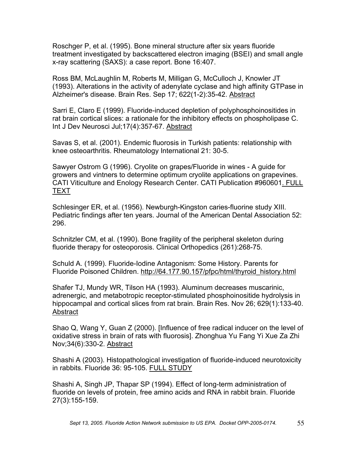Roschger P, et al. (1995). Bone mineral structure after six years fluoride treatment investigated by backscattered electron imaging (BSEI) and small angle x-ray scattering (SAXS): a case report. Bone 16:407.

Ross BM, McLaughlin M, Roberts M, Milligan G, McCulloch J, Knowler JT (1993). Alterations in the activity of adenylate cyclase and high affinity GTPase in Alzheimer's disease. Brain Res. Sep 17; 622(1-2):35-42. Abstract

Sarri E, Claro E (1999). Fluoride-induced depletion of polyphosphoinositides in rat brain cortical slices: a rationale for the inhibitory effects on phospholipase C. Int J Dev Neurosci Jul;17(4):357-67. Abstract

Savas S, et al. (2001). Endemic fluorosis in Turkish patients: relationship with knee osteoarthritis. Rheumatology International 21: 30-5.

Sawyer Ostrom G (1996). Cryolite on grapes/Fluoride in wines - A guide for growers and vintners to determine optimum cryolite applications on grapevines. CATI Viticulture and Enology Research Center. CATI Publication #960601. FULL TEXT

Schlesinger ER, et al. (1956). Newburgh-Kingston caries-fluorine study XIII. Pediatric findings after ten years. Journal of the American Dental Association 52: 296.

Schnitzler CM, et al. (1990). Bone fragility of the peripheral skeleton during fluoride therapy for osteoporosis. Clinical Orthopedics (261):268-75.

Schuld A. (1999). Fluoride-Iodine Antagonism: Some History. Parents for Fluoride Poisoned Children. http://64.177.90.157/pfpc/html/thyroid\_history.html

Shafer TJ, Mundy WR, Tilson HA (1993). Aluminum decreases muscarinic, adrenergic, and metabotropic receptor-stimulated phosphoinositide hydrolysis in hippocampal and cortical slices from rat brain. Brain Res. Nov 26; 629(1):133-40. **Abstract** 

Shao Q, Wang Y, Guan Z (2000). [Influence of free radical inducer on the level of oxidative stress in brain of rats with fluorosis]. Zhonghua Yu Fang Yi Xue Za Zhi Nov;34(6):330-2. Abstract

Shashi A (2003). Histopathological investigation of fluoride-induced neurotoxicity in rabbits. Fluoride 36: 95-105. FULL STUDY

Shashi A, Singh JP, Thapar SP (1994). Effect of long-term administration of fluoride on levels of protein, free amino acids and RNA in rabbit brain. Fluoride 27(3):155-159.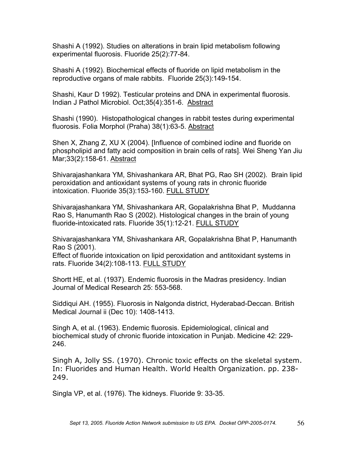Shashi A (1992). Studies on alterations in brain lipid metabolism following experimental fluorosis. Fluoride 25(2):77-84.

Shashi A (1992). Biochemical effects of fluoride on lipid metabolism in the reproductive organs of male rabbits. Fluoride 25(3):149-154.

Shashi, Kaur D 1992). Testicular proteins and DNA in experimental fluorosis. Indian J Pathol Microbiol. Oct;35(4):351-6. Abstract

Shashi (1990). Histopathological changes in rabbit testes during experimental fluorosis. Folia Morphol (Praha) 38(1):63-5. Abstract

Shen X, Zhang Z, XU X (2004). [Influence of combined iodine and fluoride on phospholipid and fatty acid composition in brain cells of rats]. Wei Sheng Yan Jiu Mar;33(2):158-61. Abstract

Shivarajashankara YM, Shivashankara AR, Bhat PG, Rao SH (2002). Brain lipid peroxidation and antioxidant systems of young rats in chronic fluoride intoxication. Fluoride 35(3):153-160. FULL STUDY

Shivarajashankara YM, Shivashankara AR, Gopalakrishna Bhat P, Muddanna Rao S, Hanumanth Rao S (2002). Histological changes in the brain of young fluoride-intoxicated rats. Fluoride 35(1):12-21. FULL STUDY

Shivarajashankara YM, Shivashankara AR, Gopalakrishna Bhat P, Hanumanth Rao S (2001).

Effect of fluoride intoxication on lipid peroxidation and antitoxidant systems in rats. Fluoride 34(2):108-113. FULL STUDY

Shortt HE, et al. (1937). Endemic fluorosis in the Madras presidency. Indian Journal of Medical Research 25: 553-568.

Siddiqui AH. (1955). Fluorosis in Nalgonda district, Hyderabad-Deccan. British Medical Journal ii (Dec 10): 1408-1413.

Singh A, et al. (1963). Endemic fluorosis. Epidemiological, clinical and biochemical study of chronic fluoride intoxication in Punjab. Medicine 42: 229- 246.

Singh A, Jolly SS. (1970). Chronic toxic effects on the skeletal system. In: Fluorides and Human Health. World Health Organization. pp. 238- 249.

Singla VP, et al. (1976). The kidneys. Fluoride 9: 33-35.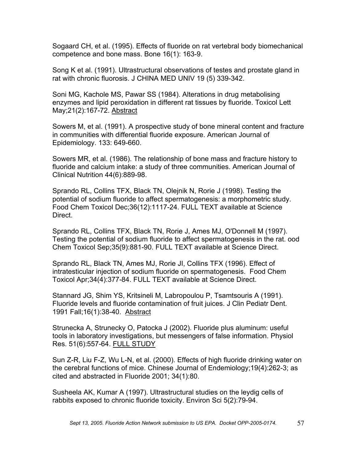Sogaard CH, et al. (1995). Effects of fluoride on rat vertebral body biomechanical competence and bone mass. Bone 16(1): 163-9.

Song K et al. (1991). Ultrastructural observations of testes and prostate gland in rat with chronic fluorosis. J CHINA MED UNIV 19 (5) 339-342.

Soni MG, Kachole MS, Pawar SS (1984). Alterations in drug metabolising enzymes and lipid peroxidation in different rat tissues by fluoride. Toxicol Lett May;21(2):167-72. Abstract

Sowers M, et al. (1991). A prospective study of bone mineral content and fracture in communities with differential fluoride exposure. American Journal of Epidemiology. 133: 649-660.

Sowers MR, et al. (1986). The relationship of bone mass and fracture history to fluoride and calcium intake: a study of three communities. American Journal of Clinical Nutrition 44(6):889-98.

Sprando RL, Collins TFX, Black TN, Olejnik N, Rorie J (1998). Testing the potential of sodium fluoride to affect spermatogenesis: a morphometric study. Food Chem Toxicol Dec;36(12):1117-24. FULL TEXT available at Science Direct.

Sprando RL, Collins TFX, Black TN, Rorie J, Ames MJ, O'Donnell M (1997). Testing the potential of sodium fluoride to affect spermatogenesis in the rat. ood Chem Toxicol Sep;35(9):881-90. FULL TEXT available at Science Direct.

Sprando RL, Black TN, Ames MJ, Rorie JI, Collins TFX (1996). Effect of intratesticular injection of sodium fluoride on spermatogenesis. Food Chem Toxicol Apr;34(4):377-84. FULL TEXT available at Science Direct.

Stannard JG, Shim YS, Kritsineli M, Labropoulou P, Tsamtsouris A (1991). Fluoride levels and fluoride contamination of fruit juices. J Clin Pediatr Dent. 1991 Fall;16(1):38-40. Abstract

Strunecka A, Strunecky O, Patocka J (2002). Fluoride plus aluminum: useful tools in laboratory investigations, but messengers of false information. Physiol Res. 51(6):557-64. FULL STUDY

Sun Z-R, Liu F-Z, Wu L-N, et al. (2000). Effects of high fluoride drinking water on the cerebral functions of mice. Chinese Journal of Endemiology;19(4):262-3; as cited and abstracted in Fluoride 2001; 34(1):80.

Susheela AK, Kumar A (1997). Ultrastructural studies on the leydig cells of rabbits exposed to chronic fluoride toxicity. Environ Sci 5(2):79-94.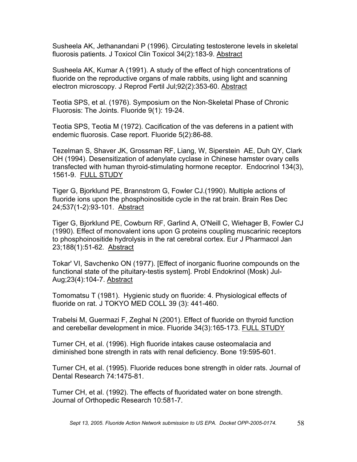Susheela AK, Jethanandani P (1996). Circulating testosterone levels in skeletal fluorosis patients. J Toxicol Clin Toxicol 34(2):183-9. Abstract

Susheela AK, Kumar A (1991). A study of the effect of high concentrations of fluoride on the reproductive organs of male rabbits, using light and scanning electron microscopy. J Reprod Fertil Jul;92(2):353-60. Abstract

Teotia SPS, et al. (1976). Symposium on the Non-Skeletal Phase of Chronic Fluorosis: The Joints. Fluoride 9(1): 19-24.

Teotia SPS, Teotia M (1972). Cacification of the vas deferens in a patient with endemic fluorosis. Case report. Fluoride 5(2):86-88.

Tezelman S, Shaver JK, Grossman RF, Liang, W, Siperstein AE, Duh QY, Clark OH (1994). Desensitization of adenylate cyclase in Chinese hamster ovary cells transfected with human thyroid-stimulating hormone receptor. Endocrinol 134(3), 1561-9. FULL STUDY

Tiger G, Bjorklund PE, Brannstrom G, Fowler CJ.(1990). Multiple actions of fluoride ions upon the phosphoinositide cycle in the rat brain. Brain Res Dec 24;537(1-2):93-101. Abstract

Tiger G, Bjorklund PE, Cowburn RF, Garlind A, O'Neill C, Wiehager B, Fowler CJ (1990). Effect of monovalent ions upon G proteins coupling muscarinic receptors to phosphoinositide hydrolysis in the rat cerebral cortex. Eur J Pharmacol Jan 23;188(1):51-62. Abstract

Tokar' VI, Savchenko ON (1977). [Effect of inorganic fluorine compounds on the functional state of the pituitary-testis system]. Probl Endokrinol (Mosk) Jul-Aug;23(4):104-7. Abstract

Tomomatsu T (1981). Hygienic study on fluoride: 4. Physiological effects of fluoride on rat. J TOKYO MED COLL 39 (3): 441-460.

Trabelsi M, Guermazi F, Zeghal N (2001). Effect of fluoride on thyroid function and cerebellar development in mice. Fluoride 34(3):165-173. FULL STUDY

Turner CH, et al. (1996). High fluoride intakes cause osteomalacia and diminished bone strength in rats with renal deficiency. Bone 19:595-601.

Turner CH, et al. (1995). Fluoride reduces bone strength in older rats. Journal of Dental Research 74:1475-81.

Turner CH, et al. (1992). The effects of fluoridated water on bone strength. Journal of Orthopedic Research 10:581-7.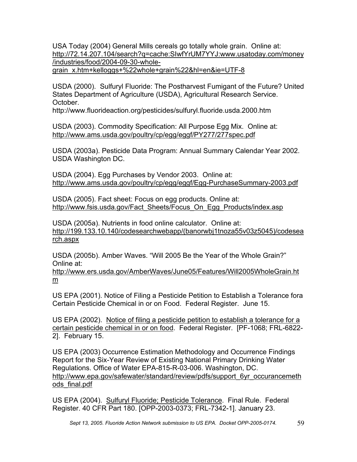USA Today (2004) General Mills cereals go totally whole grain. Online at: http://72.14.207.104/search?q=cache:SIwfYrUM7YYJ:www.usatoday.com/money /industries/food/2004-09-30-wholegrain\_x.htm+kelloggs+%22whole+grain%22&hl=en&ie=UTF-8

USDA (2000). Sulfuryl Fluoride: The Postharvest Fumigant of the Future? United States Department of Agriculture (USDA), Agricultural Research Service. October.

http://www.fluorideaction.org/pesticides/sulfuryl.fluoride.usda.2000.htm

USDA (2003). Commodity Specification: All Purpose Egg Mix. Online at: http://www.ams.usda.gov/poultry/cp/egg/eggf/PY277/277spec.pdf

USDA (2003a). Pesticide Data Program: Annual Summary Calendar Year 2002. USDA Washington DC.

USDA (2004). Egg Purchases by Vendor 2003. Online at: http://www.ams.usda.gov/poultry/cp/egg/eggf/Egg-PurchaseSummary-2003.pdf

USDA (2005). Fact sheet: Focus on egg products. Online at: http://www.fsis.usda.gov/Fact Sheets/Focus On Egg Products/index.asp

USDA (2005a). Nutrients in food online calculator. Online at: http://199.133.10.140/codesearchwebapp/(banorwbj1tnoza55v03z5045)/codesea rch.aspx

USDA (2005b). Amber Waves. "Will 2005 Be the Year of the Whole Grain?" Online at:

http://www.ers.usda.gov/AmberWaves/June05/Features/Will2005WholeGrain.ht m

US EPA (2001). Notice of Filing a Pesticide Petition to Establish a Tolerance fora Certain Pesticide Chemical in or on Food. Federal Register. June 15.

US EPA (2002). Notice of filing a pesticide petition to establish a tolerance for a certain pesticide chemical in or on food. Federal Register. [PF-1068; FRL-6822- 2]. February 15.

US EPA (2003) Occurrence Estimation Methodology and Occurrence Findings Report for the Six-Year Review of Existing National Primary Drinking Water Regulations. Office of Water EPA-815-R-03-006. Washington, DC. http://www.epa.gov/safewater/standard/review/pdfs/support\_6yr\_occurancemeth ods\_final.pdf

US EPA (2004). Sulfuryl Fluoride; Pesticide Tolerance. Final Rule. Federal Register. 40 CFR Part 180. [OPP-2003-0373; FRL-7342-1]. January 23.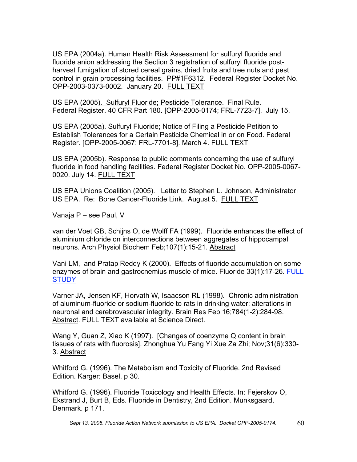US EPA (2004a). Human Health Risk Assessment for sulfuryl fluoride and fluoride anion addressing the Section 3 registration of sulfuryl fluoride postharvest fumigation of stored cereal grains, dried fruits and tree nuts and pest control in grain processing facilities. PP#1F6312. Federal Register Docket No. OPP-2003-0373-0002. January 20. FULL TEXT

US EPA (2005). Sulfuryl Fluoride; Pesticide Tolerance. Final Rule. Federal Register. 40 CFR Part 180. [OPP-2005-0174; FRL-7723-7]. July 15.

US EPA (2005a). Sulfuryl Fluoride; Notice of Filing a Pesticide Petition to Establish Tolerances for a Certain Pesticide Chemical in or on Food. Federal Register. [OPP-2005-0067; FRL-7701-8]. March 4. FULL TEXT

US EPA (2005b). Response to public comments concerning the use of sulfuryl fluoride in food handling facilities. Federal Register Docket No. OPP-2005-0067- 0020. July 14. FULL TEXT

US EPA Unions Coalition (2005). Letter to Stephen L. Johnson, Administrator US EPA. Re: Bone Cancer-Fluoride Link. August 5. FULL TEXT

Vanaja P – see Paul, V

van der Voet GB, Schijns O, de Wolff FA (1999). Fluoride enhances the effect of aluminium chloride on interconnections between aggregates of hippocampal neurons. Arch Physiol Biochem Feb;107(1):15-21. Abstract

Vani LM, and Pratap Reddy K (2000). Effects of fluoride accumulation on some enzymes of brain and gastrocnemius muscle of mice. Fluoride 33(1):17-26. FULL **STUDY** 

Varner JA, Jensen KF, Horvath W, Isaacson RL (1998). Chronic administration of aluminum-fluoride or sodium-fluoride to rats in drinking water: alterations in neuronal and cerebrovascular integrity. Brain Res Feb 16;784(1-2):284-98. Abstract. FULL TEXT available at Science Direct.

Wang Y, Guan Z, Xiao K (1997). [Changes of coenzyme Q content in brain tissues of rats with fluorosis]. Zhonghua Yu Fang Yi Xue Za Zhi; Nov;31(6):330- 3. Abstract

Whitford G. (1996). The Metabolism and Toxicity of Fluoride. 2nd Revised Edition. Karger: Basel. p 30.

Whitford G. (1996). Fluoride Toxicology and Health Effects. In: Fejerskov O, Ekstrand J, Burt B, Eds. Fluoride in Dentistry, 2nd Edition. Munksgaard, Denmark. p 171.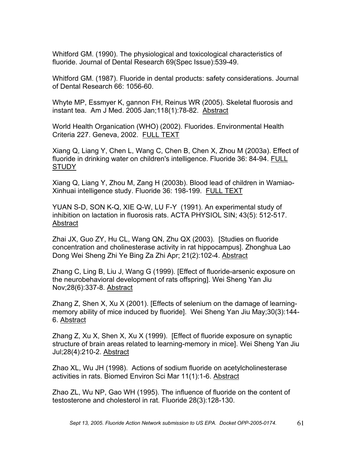Whitford GM. (1990). The physiological and toxicological characteristics of fluoride. Journal of Dental Research 69(Spec Issue):539-49.

Whitford GM. (1987). Fluoride in dental products: safety considerations. Journal of Dental Research 66: 1056-60.

Whyte MP, Essmyer K, gannon FH, Reinus WR (2005). Skeletal fluorosis and instant tea. Am J Med. 2005 Jan;118(1):78-82. Abstract

World Health Organication (WHO) (2002). Fluorides. Environmental Health Criteria 227. Geneva, 2002. FULL TEXT

Xiang Q, Liang Y, Chen L, Wang C, Chen B, Chen X, Zhou M (2003a). Effect of fluoride in drinking water on children's intelligence. Fluoride 36: 84-94. FULL **STUDY** 

Xiang Q, Liang Y, Zhou M, Zang H (2003b). Blood lead of children in Wamiao-Xinhuai intelligence study. Fluoride 36: 198-199. FULL TEXT

YUAN S-D, SON K-Q, XIE Q-W, LU F-Y (1991). An experimental study of inhibition on lactation in fluorosis rats. ACTA PHYSIOL SIN; 43(5): 512-517. Abstract

Zhai JX, Guo ZY, Hu CL, Wang QN, Zhu QX (2003). [Studies on fluoride concentration and cholinesterase activity in rat hippocampus]. Zhonghua Lao Dong Wei Sheng Zhi Ye Bing Za Zhi Apr; 21(2):102-4. Abstract

Zhang C, Ling B, Liu J, Wang G (1999). [Effect of fluoride-arsenic exposure on the neurobehavioral development of rats offspring]. Wei Sheng Yan Jiu Nov;28(6):337-8. Abstract

Zhang Z, Shen X, Xu X (2001). [Effects of selenium on the damage of learningmemory ability of mice induced by fluoride]. Wei Sheng Yan Jiu May;30(3):144- 6. Abstract

Zhang Z, Xu X, Shen X, Xu X (1999). [Effect of fluoride exposure on synaptic structure of brain areas related to learning-memory in mice]. Wei Sheng Yan Jiu Jul;28(4):210-2. Abstract

Zhao XL, Wu JH (1998). Actions of sodium fluoride on acetylcholinesterase activities in rats. Biomed Environ Sci Mar 11(1):1-6. Abstract

Zhao ZL, Wu NP, Gao WH (1995). The influence of fluoride on the content of testosterone and cholesterol in rat. Fluoride 28(3):128-130.